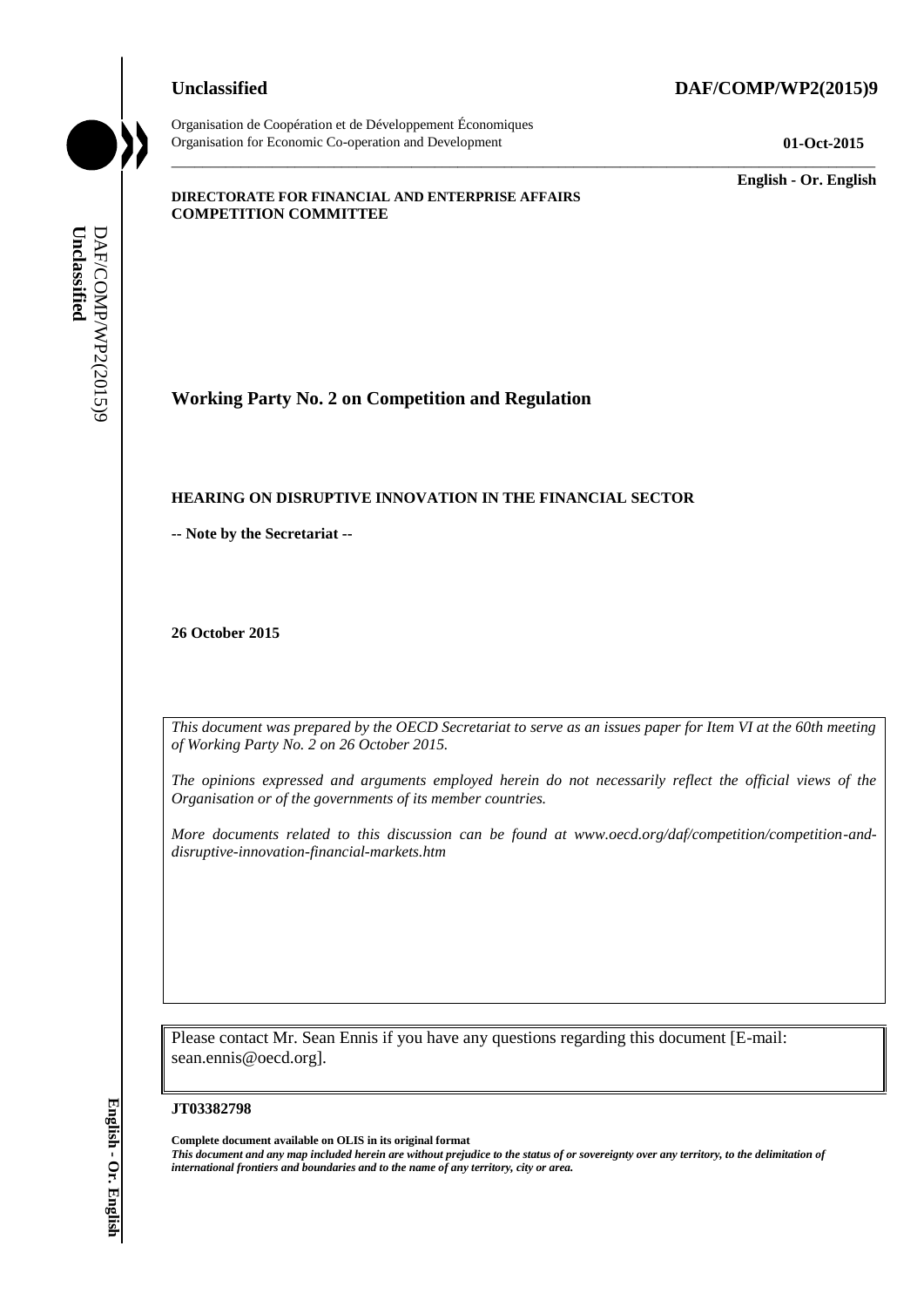#### **Unclassified DAF/COMP/WP2(2015)9**



Organisation de Coopération et de Développement Économiques Organisation for Economic Co-operation and Development **01-Oct-2015**

\_\_\_\_\_\_\_\_\_\_\_\_\_ **English - Or. English**

#### **DIRECTORATE FOR FINANCIAL AND ENTERPRISE AFFAIRS COMPETITION COMMITTEE**

**Working Party No. 2 on Competition and Regulation**

#### **HEARING ON DISRUPTIVE INNOVATION IN THE FINANCIAL SECTOR**

**-- Note by the Secretariat --**

**26 October 2015**

*This document was prepared by the OECD Secretariat to serve as an issues paper for Item VI at the 60th meeting of Working Party No. 2 on 26 October 2015.* 

\_\_\_\_\_\_\_\_\_\_\_\_\_\_\_\_\_\_\_\_\_\_\_\_\_\_\_\_\_\_\_\_\_\_\_\_\_\_\_\_\_\_\_\_\_\_\_\_\_\_\_\_\_\_\_\_\_\_\_\_\_\_\_\_\_\_\_\_\_\_\_\_\_\_\_\_\_\_\_\_\_\_\_\_\_\_\_\_\_\_\_

*The opinions expressed and arguments employed herein do not necessarily reflect the official views of the Organisation or of the governments of its member countries.* 

*More documents related to this discussion can be found at www.oecd.org/daf/competition/competition-anddisruptive-innovation-financial-markets.htm*

Please contact Mr. Sean Ennis if you have any questions regarding this document [E-mail: sean.ennis@oecd.org].

#### **JT03382798**

**Complete document available on OLIS in its original format** *This document and any map included herein are without prejudice to the status of or sovereignty over any territory, to the delimitation of*  **iii** *international frontiers and boundaries and boundaries and to the name of any territory*<br> **IERNING ON DISRUPTIVE INNOVATION IN THE FINA**<br>
- Note by the Secretariat -<br>
26 October 2015<br>
This documents or graphy Mp. 2 o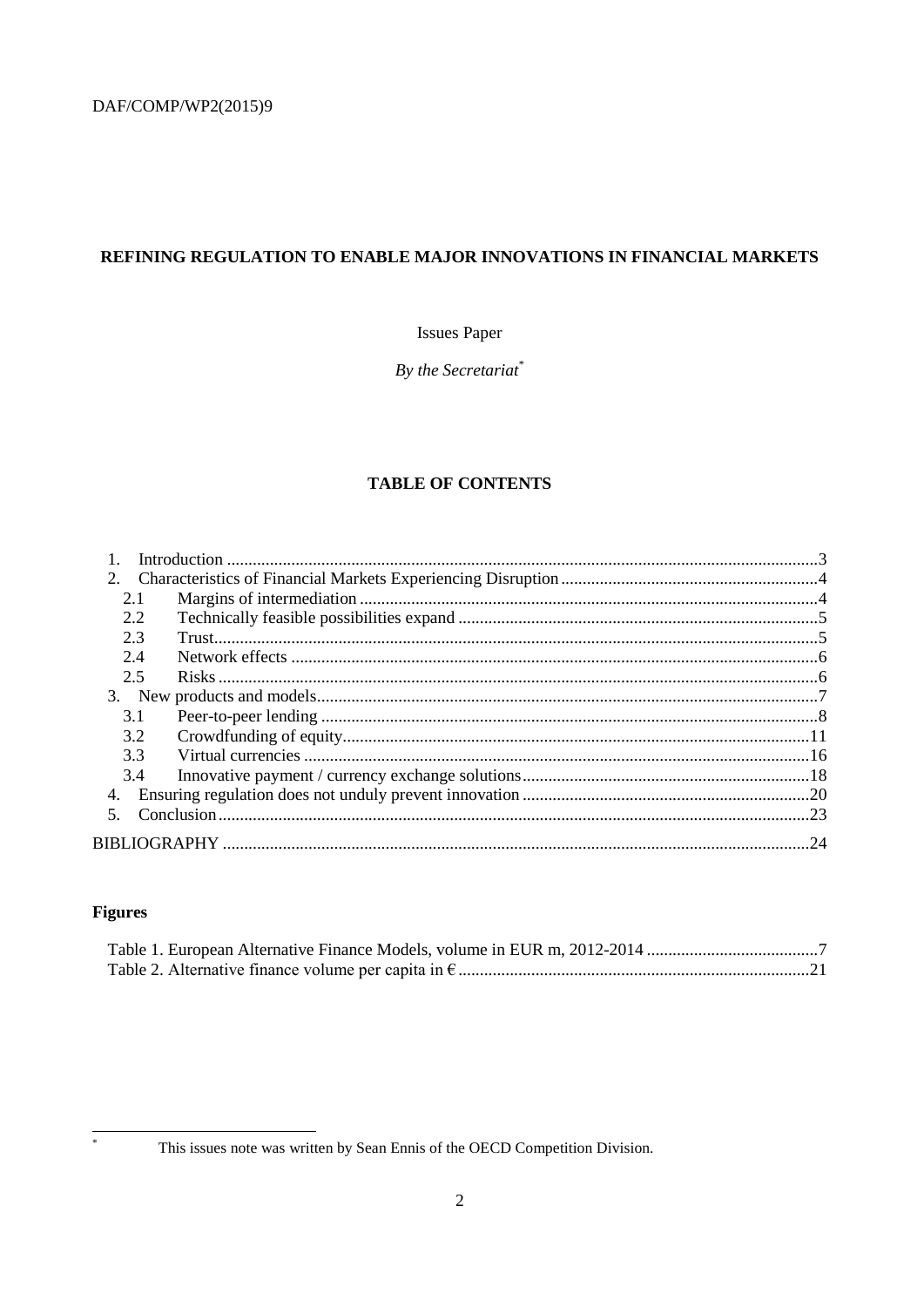# REFINING REGULATION TO ENABLE MAJOR INNOVATIONS IN FINANCIAL MARKETS

## **Issues Paper**

By the Secretariat\*

# **TABLE OF CONTENTS**

| 2.1 |  |
|-----|--|
| 2.2 |  |
| 2.3 |  |
| 2.4 |  |
| 2.5 |  |
|     |  |
| 3.1 |  |
| 3.2 |  |
| 3.3 |  |
| 3.4 |  |
| 4.  |  |
| 5   |  |
|     |  |

# **Figures**

 $\ast$ 

This issues note was written by Sean Ennis of the OECD Competition Division.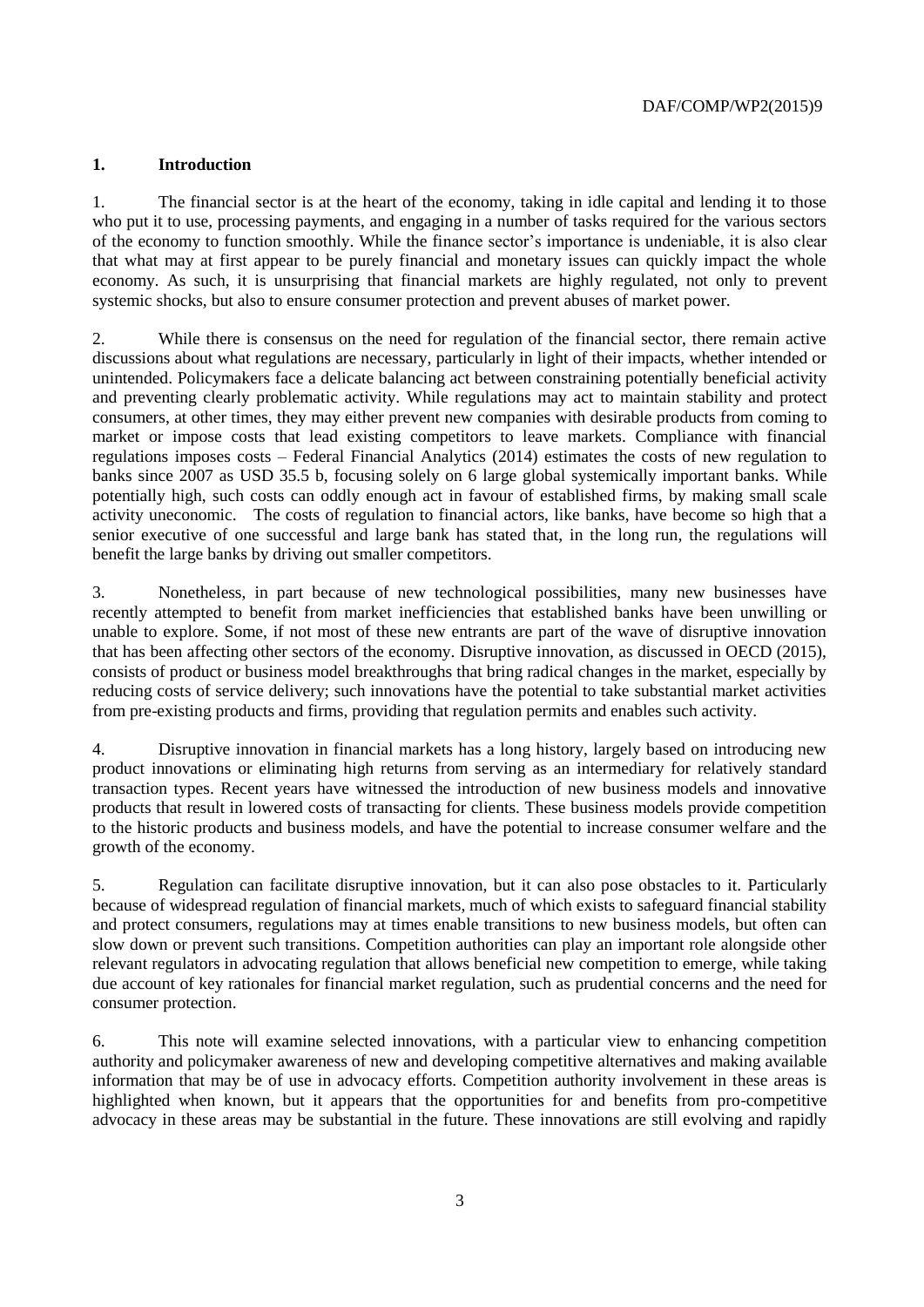#### **1. Introduction**

1. The financial sector is at the heart of the economy, taking in idle capital and lending it to those who put it to use, processing payments, and engaging in a number of tasks required for the various sectors of the economy to function smoothly. While the finance sector's importance is undeniable, it is also clear that what may at first appear to be purely financial and monetary issues can quickly impact the whole economy. As such, it is unsurprising that financial markets are highly regulated, not only to prevent systemic shocks, but also to ensure consumer protection and prevent abuses of market power.

2. While there is consensus on the need for regulation of the financial sector, there remain active discussions about what regulations are necessary, particularly in light of their impacts, whether intended or unintended. Policymakers face a delicate balancing act between constraining potentially beneficial activity and preventing clearly problematic activity. While regulations may act to maintain stability and protect consumers, at other times, they may either prevent new companies with desirable products from coming to market or impose costs that lead existing competitors to leave markets. Compliance with financial regulations imposes costs – Federal Financial Analytics (2014) estimates the costs of new regulation to banks since 2007 as USD 35.5 b, focusing solely on 6 large global systemically important banks. While potentially high, such costs can oddly enough act in favour of established firms, by making small scale activity uneconomic. The costs of regulation to financial actors, like banks, have become so high that a senior executive of one successful and large bank has stated that, in the long run, the regulations will benefit the large banks by driving out smaller competitors.

3. Nonetheless, in part because of new technological possibilities, many new businesses have recently attempted to benefit from market inefficiencies that established banks have been unwilling or unable to explore. Some, if not most of these new entrants are part of the wave of disruptive innovation that has been affecting other sectors of the economy. Disruptive innovation, as discussed in OECD (2015), consists of product or business model breakthroughs that bring radical changes in the market, especially by reducing costs of service delivery; such innovations have the potential to take substantial market activities from pre-existing products and firms, providing that regulation permits and enables such activity.

4. Disruptive innovation in financial markets has a long history, largely based on introducing new product innovations or eliminating high returns from serving as an intermediary for relatively standard transaction types. Recent years have witnessed the introduction of new business models and innovative products that result in lowered costs of transacting for clients. These business models provide competition to the historic products and business models, and have the potential to increase consumer welfare and the growth of the economy.

5. Regulation can facilitate disruptive innovation, but it can also pose obstacles to it. Particularly because of widespread regulation of financial markets, much of which exists to safeguard financial stability and protect consumers, regulations may at times enable transitions to new business models, but often can slow down or prevent such transitions. Competition authorities can play an important role alongside other relevant regulators in advocating regulation that allows beneficial new competition to emerge, while taking due account of key rationales for financial market regulation, such as prudential concerns and the need for consumer protection.

6. This note will examine selected innovations, with a particular view to enhancing competition authority and policymaker awareness of new and developing competitive alternatives and making available information that may be of use in advocacy efforts. Competition authority involvement in these areas is highlighted when known, but it appears that the opportunities for and benefits from pro-competitive advocacy in these areas may be substantial in the future. These innovations are still evolving and rapidly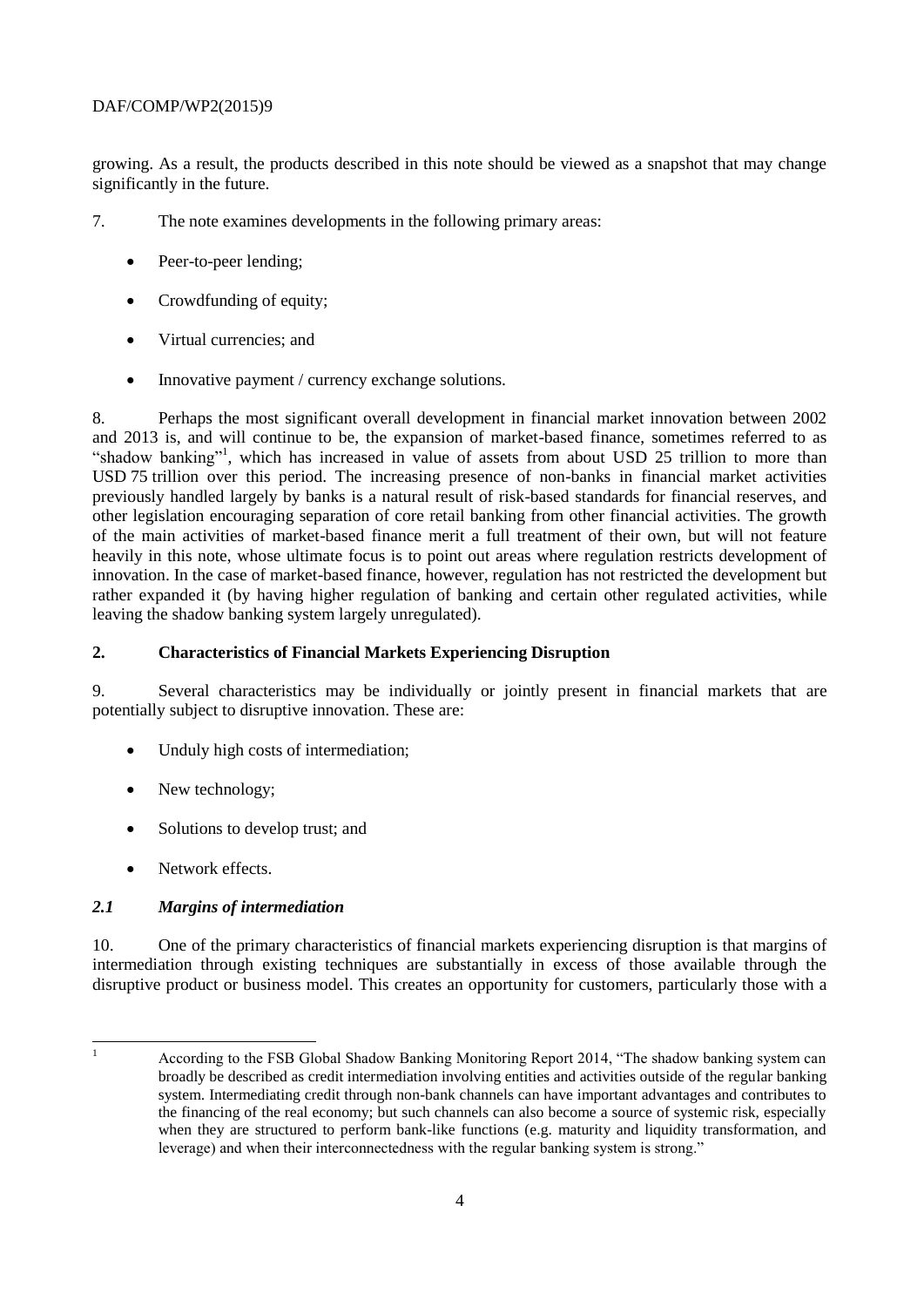growing. As a result, the products described in this note should be viewed as a snapshot that may change significantly in the future.

- 7. The note examines developments in the following primary areas:
	- Peer-to-peer lending;
	- Crowdfunding of equity;
	- Virtual currencies: and
	- Innovative payment / currency exchange solutions.

8. Perhaps the most significant overall development in financial market innovation between 2002 and 2013 is, and will continue to be, the expansion of market-based finance, sometimes referred to as "shadow banking"<sup>1</sup>, which has increased in value of assets from about USD 25 trillion to more than USD 75 trillion over this period. The increasing presence of non-banks in financial market activities previously handled largely by banks is a natural result of risk-based standards for financial reserves, and other legislation encouraging separation of core retail banking from other financial activities. The growth of the main activities of market-based finance merit a full treatment of their own, but will not feature heavily in this note, whose ultimate focus is to point out areas where regulation restricts development of innovation. In the case of market-based finance, however, regulation has not restricted the development but rather expanded it (by having higher regulation of banking and certain other regulated activities, while leaving the shadow banking system largely unregulated).

## **2. Characteristics of Financial Markets Experiencing Disruption**

9. Several characteristics may be individually or jointly present in financial markets that are potentially subject to disruptive innovation. These are:

- Unduly high costs of intermediation;
- New technology;
- Solutions to develop trust; and
- Network effects.

# *2.1 Margins of intermediation*

10. One of the primary characteristics of financial markets experiencing disruption is that margins of intermediation through existing techniques are substantially in excess of those available through the disruptive product or business model. This creates an opportunity for customers, particularly those with a

 $\mathbf{1}$ 

<sup>1</sup> According to the FSB Global Shadow Banking Monitoring Report 2014, "The shadow banking system can broadly be described as credit intermediation involving entities and activities outside of the regular banking system. Intermediating credit through non-bank channels can have important advantages and contributes to the financing of the real economy; but such channels can also become a source of systemic risk, especially when they are structured to perform bank-like functions (e.g. maturity and liquidity transformation, and leverage) and when their interconnectedness with the regular banking system is strong."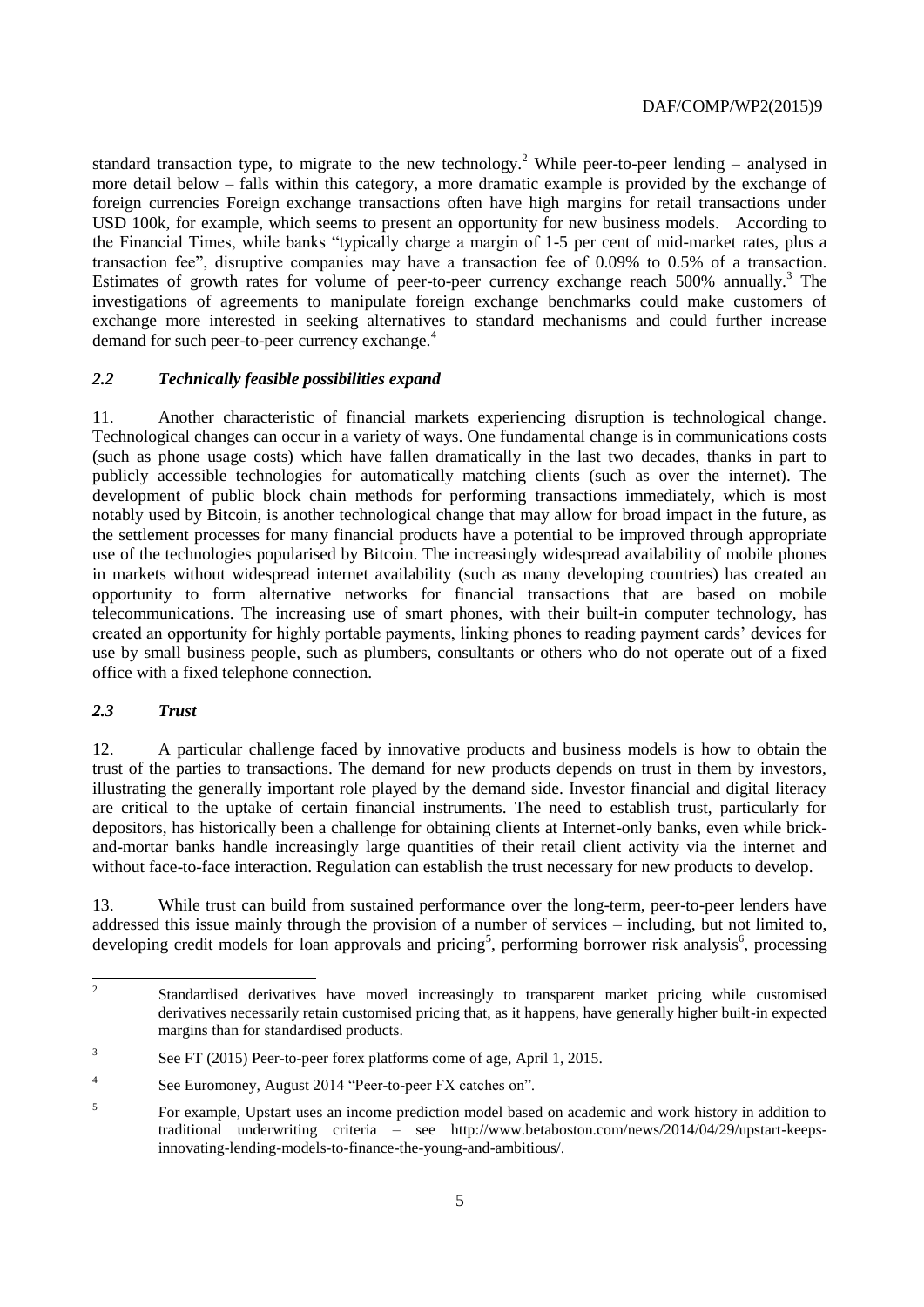standard transaction type, to migrate to the new technology.<sup>2</sup> While peer-to-peer lending – analysed in more detail below – falls within this category, a more dramatic example is provided by the exchange of foreign currencies Foreign exchange transactions often have high margins for retail transactions under USD 100k, for example, which seems to present an opportunity for new business models. According to the Financial Times, while banks "typically charge a margin of 1-5 per cent of mid-market rates, plus a transaction fee", disruptive companies may have a transaction fee of 0.09% to 0.5% of a transaction. Estimates of growth rates for volume of peer-to-peer currency exchange reach  $500\%$  annually.<sup>3</sup> The investigations of agreements to manipulate foreign exchange benchmarks could make customers of exchange more interested in seeking alternatives to standard mechanisms and could further increase demand for such peer-to-peer currency exchange.<sup>4</sup>

#### *2.2 Technically feasible possibilities expand*

11. Another characteristic of financial markets experiencing disruption is technological change. Technological changes can occur in a variety of ways. One fundamental change is in communications costs (such as phone usage costs) which have fallen dramatically in the last two decades, thanks in part to publicly accessible technologies for automatically matching clients (such as over the internet). The development of public block chain methods for performing transactions immediately, which is most notably used by Bitcoin, is another technological change that may allow for broad impact in the future, as the settlement processes for many financial products have a potential to be improved through appropriate use of the technologies popularised by Bitcoin. The increasingly widespread availability of mobile phones in markets without widespread internet availability (such as many developing countries) has created an opportunity to form alternative networks for financial transactions that are based on mobile telecommunications. The increasing use of smart phones, with their built-in computer technology, has created an opportunity for highly portable payments, linking phones to reading payment cards' devices for use by small business people, such as plumbers, consultants or others who do not operate out of a fixed office with a fixed telephone connection.

#### *2.3 Trust*

12. A particular challenge faced by innovative products and business models is how to obtain the trust of the parties to transactions. The demand for new products depends on trust in them by investors, illustrating the generally important role played by the demand side. Investor financial and digital literacy are critical to the uptake of certain financial instruments. The need to establish trust, particularly for depositors, has historically been a challenge for obtaining clients at Internet-only banks, even while brickand-mortar banks handle increasingly large quantities of their retail client activity via the internet and without face-to-face interaction. Regulation can establish the trust necessary for new products to develop.

13. While trust can build from sustained performance over the long-term, peer-to-peer lenders have addressed this issue mainly through the provision of a number of services – including, but not limited to, developing credit models for loan approvals and pricing<sup>5</sup>, performing borrower risk analysis<sup>6</sup>, processing

 $\frac{1}{2}$ Standardised derivatives have moved increasingly to transparent market pricing while customised derivatives necessarily retain customised pricing that, as it happens, have generally higher built-in expected margins than for standardised products.

<sup>3</sup> See FT (2015) Peer-to-peer forex platforms come of age, April 1, 2015.

<sup>4</sup> See Euromoney, August 2014 "Peer-to-peer FX catches on".

<sup>5</sup> For example, Upstart uses an income prediction model based on academic and work history in addition to traditional underwriting criteria – see http://www.betaboston.com/news/2014/04/29/upstart-keepsinnovating-lending-models-to-finance-the-young-and-ambitious/.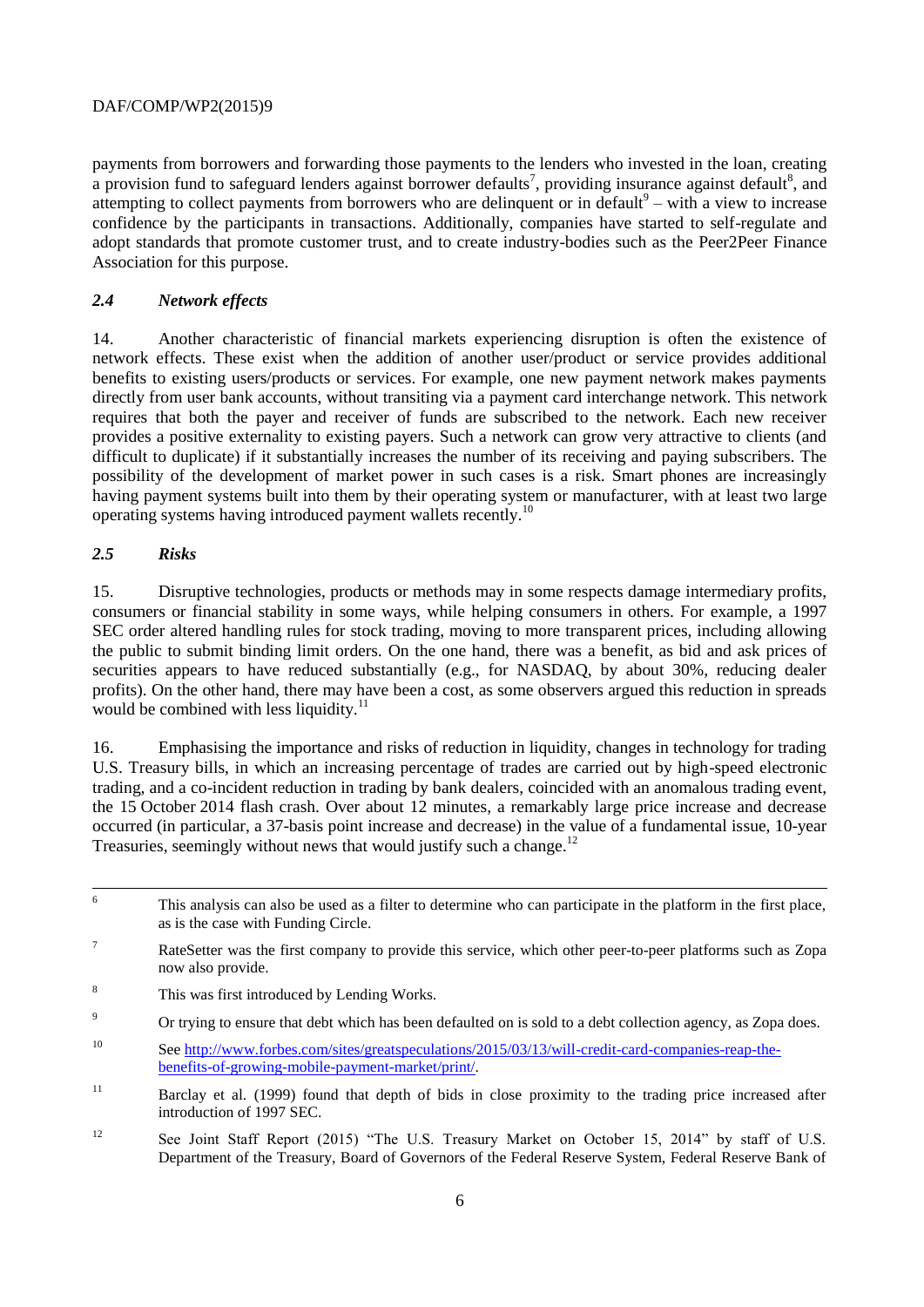payments from borrowers and forwarding those payments to the lenders who invested in the loan, creating a provision fund to safeguard lenders against borrower defaults<sup>7</sup>, providing insurance against default<sup>8</sup>, and attempting to collect payments from borrowers who are delinquent or in default $9$  – with a view to increase confidence by the participants in transactions. Additionally, companies have started to self-regulate and adopt standards that promote customer trust, and to create industry-bodies such as the Peer2Peer Finance Association for this purpose.

## *2.4 Network effects*

14. Another characteristic of financial markets experiencing disruption is often the existence of network effects. These exist when the addition of another user/product or service provides additional benefits to existing users/products or services. For example, one new payment network makes payments directly from user bank accounts, without transiting via a payment card interchange network. This network requires that both the payer and receiver of funds are subscribed to the network. Each new receiver provides a positive externality to existing payers. Such a network can grow very attractive to clients (and difficult to duplicate) if it substantially increases the number of its receiving and paying subscribers. The possibility of the development of market power in such cases is a risk. Smart phones are increasingly having payment systems built into them by their operating system or manufacturer, with at least two large operating systems having introduced payment wallets recently.<sup>10</sup>

## *2.5 Risks*

15. Disruptive technologies, products or methods may in some respects damage intermediary profits, consumers or financial stability in some ways, while helping consumers in others. For example, a 1997 SEC order altered handling rules for stock trading, moving to more transparent prices, including allowing the public to submit binding limit orders. On the one hand, there was a benefit, as bid and ask prices of securities appears to have reduced substantially (e.g., for NASDAQ, by about 30%, reducing dealer profits). On the other hand, there may have been a cost, as some observers argued this reduction in spreads would be combined with less liquidity.<sup>11</sup>

16. Emphasising the importance and risks of reduction in liquidity, changes in technology for trading U.S. Treasury bills, in which an increasing percentage of trades are carried out by high-speed electronic trading, and a co-incident reduction in trading by bank dealers, coincided with an anomalous trading event, the 15 October 2014 flash crash. Over about 12 minutes, a remarkably large price increase and decrease occurred (in particular, a 37-basis point increase and decrease) in the value of a fundamental issue, 10-year Treasuries, seemingly without news that would justify such a change.<sup>12</sup>

<sup>8</sup> This was first introduced by Lending Works.

- <sup>10</sup> See [http://www.forbes.com/sites/greatspeculations/2015/03/13/will-credit-card-companies-reap-the](http://www.forbes.com/sites/greatspeculations/2015/03/13/will-credit-card-companies-reap-the-benefits-of-growing-mobile-payment-market/print/)[benefits-of-growing-mobile-payment-market/print/.](http://www.forbes.com/sites/greatspeculations/2015/03/13/will-credit-card-companies-reap-the-benefits-of-growing-mobile-payment-market/print/)
- <sup>11</sup> Barclay et al. (1999) found that depth of bids in close proximity to the trading price increased after introduction of 1997 SEC.
- <sup>12</sup> See Joint Staff Report (2015) "The U.S. Treasury Market on October 15, 2014" by staff of U.S. Department of the Treasury, Board of Governors of the Federal Reserve System, Federal Reserve Bank of

 $\overline{6}$ This analysis can also be used as a filter to determine who can participate in the platform in the first place, as is the case with Funding Circle.

<sup>&</sup>lt;sup>7</sup> RateSetter was the first company to provide this service, which other peer-to-peer platforms such as Zopa now also provide.

<sup>&</sup>lt;sup>9</sup> Or trying to ensure that debt which has been defaulted on is sold to a debt collection agency, as Zopa does.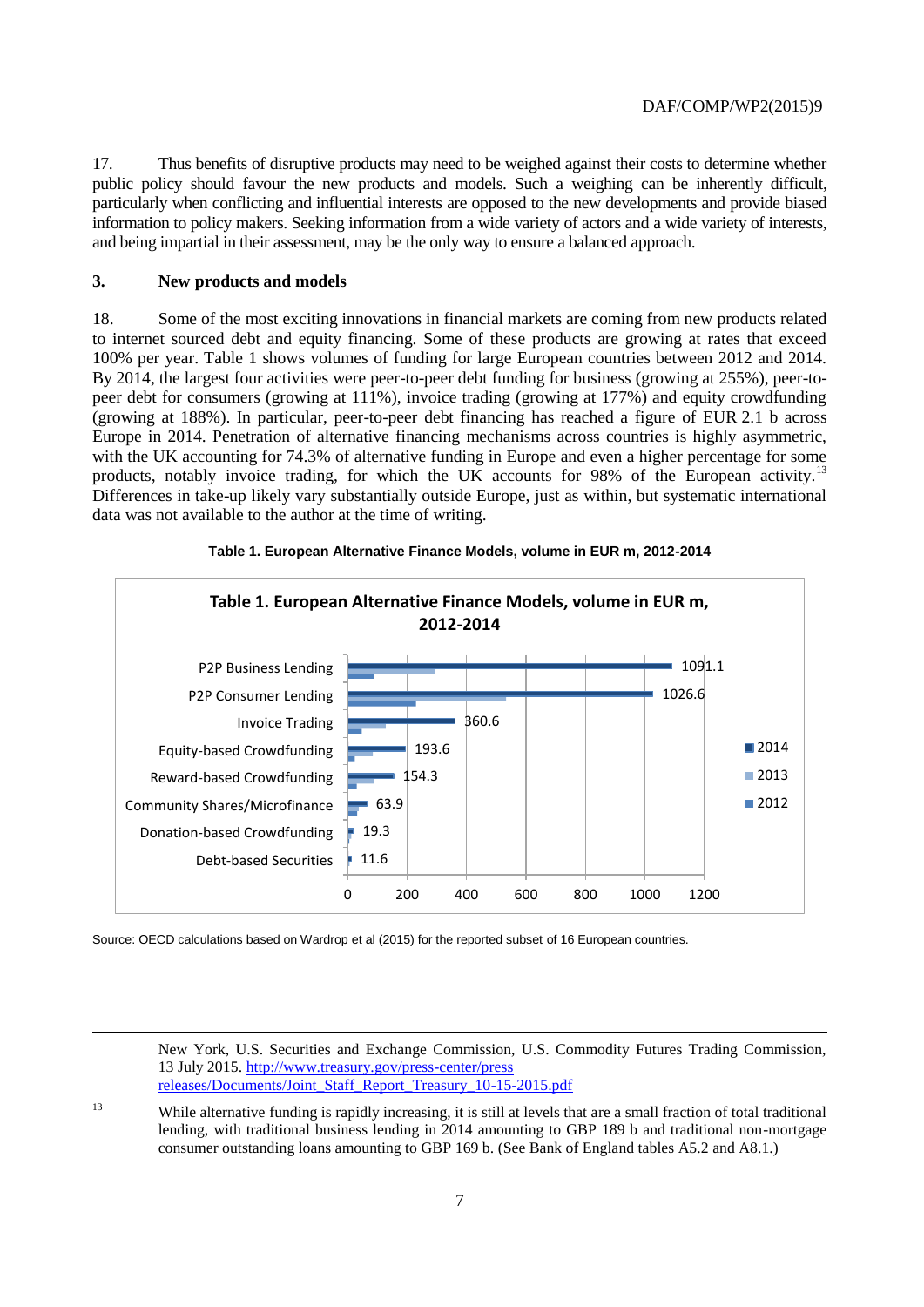17. Thus benefits of disruptive products may need to be weighed against their costs to determine whether public policy should favour the new products and models. Such a weighing can be inherently difficult, particularly when conflicting and influential interests are opposed to the new developments and provide biased information to policy makers. Seeking information from a wide variety of actors and a wide variety of interests, and being impartial in their assessment, may be the only way to ensure a balanced approach.

#### **3. New products and models**

18. Some of the most exciting innovations in financial markets are coming from new products related to internet sourced debt and equity financing. Some of these products are growing at rates that exceed 100% per year. Table 1 shows volumes of funding for large European countries between 2012 and 2014. By 2014, the largest four activities were peer-to-peer debt funding for business (growing at 255%), peer-topeer debt for consumers (growing at 111%), invoice trading (growing at 177%) and equity crowdfunding (growing at 188%). In particular, peer-to-peer debt financing has reached a figure of EUR 2.1 b across Europe in 2014. Penetration of alternative financing mechanisms across countries is highly asymmetric, with the UK accounting for 74.3% of alternative funding in Europe and even a higher percentage for some products, notably invoice trading, for which the UK accounts for 98% of the European activity.<sup>13</sup> Differences in take-up likely vary substantially outside Europe, just as within, but systematic international data was not available to the author at the time of writing.



#### **Table 1. European Alternative Finance Models, volume in EUR m, 2012-2014**

Source: OECD calculations based on Wardrop et al (2015) for the reported subset of 16 European countries.

New York, U.S. Securities and Exchange Commission, U.S. Commodity Futures Trading Commission, 13 July 2015. [http://www.treasury.gov/press-center/press](http://www.treasury.gov/press-center/press-releases/Documents/Joint_Staff_Report_Treasury_10-15-2015.pdf)  [releases/Documents/Joint\\_Staff\\_Report\\_Treasury\\_10-15-2015.pdf](http://www.treasury.gov/press-center/press-releases/Documents/Joint_Staff_Report_Treasury_10-15-2015.pdf)

<sup>13</sup> While alternative funding is rapidly increasing, it is still at levels that are a small fraction of total traditional lending, with traditional business lending in 2014 amounting to GBP 189 b and traditional non-mortgage consumer outstanding loans amounting to GBP 169 b. (See Bank of England tables A5.2 and A8.1.)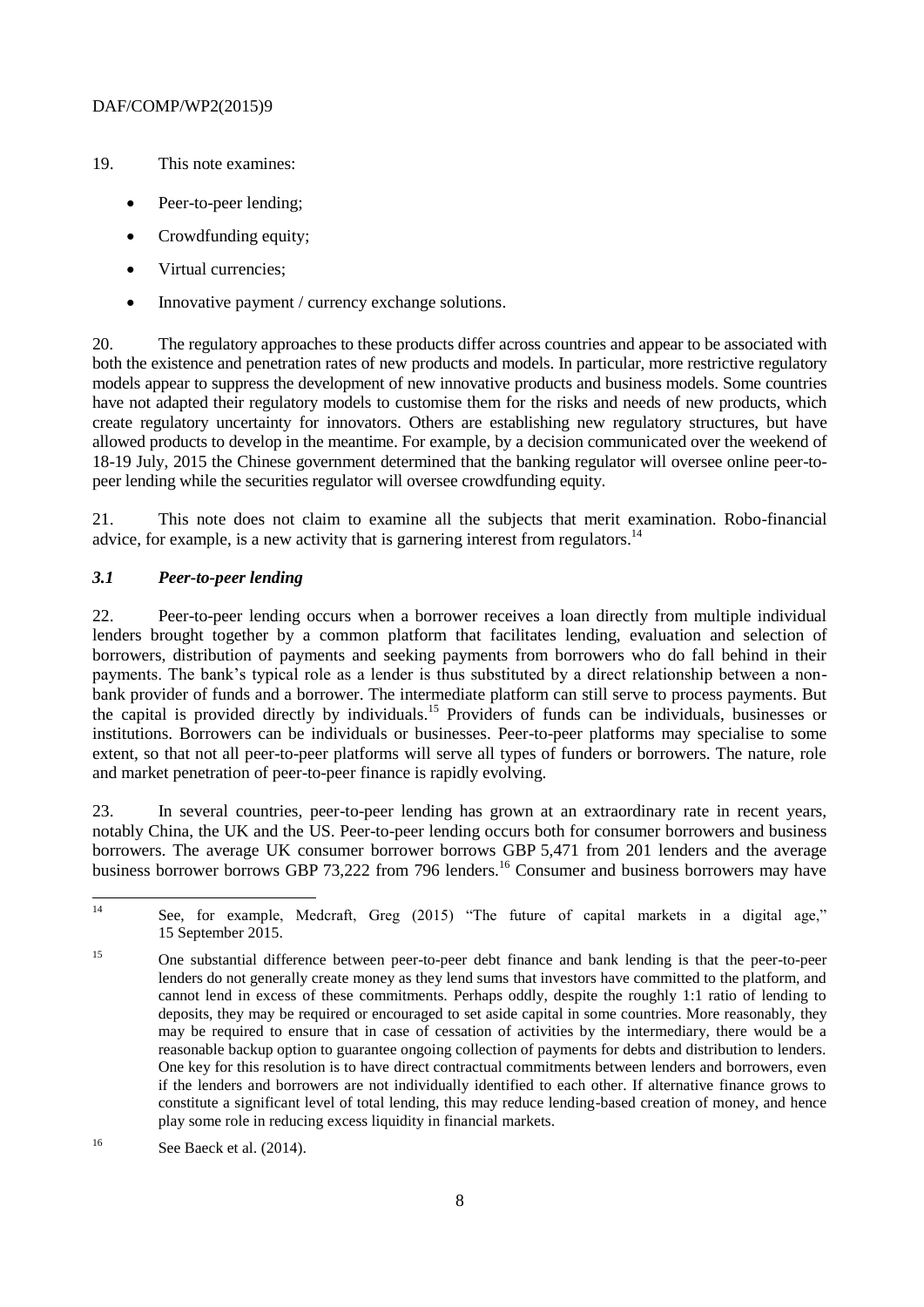- 19. This note examines:
	- Peer-to-peer lending:
	- Crowdfunding equity;
	- Virtual currencies:
	- Innovative payment / currency exchange solutions.

20. The regulatory approaches to these products differ across countries and appear to be associated with both the existence and penetration rates of new products and models. In particular, more restrictive regulatory models appear to suppress the development of new innovative products and business models. Some countries have not adapted their regulatory models to customise them for the risks and needs of new products, which create regulatory uncertainty for innovators. Others are establishing new regulatory structures, but have allowed products to develop in the meantime. For example, by a decision communicated over the weekend of 18-19 July, 2015 the Chinese government determined that the banking regulator will oversee online peer-topeer lending while the securities regulator will oversee crowdfunding equity.

21. This note does not claim to examine all the subjects that merit examination. Robo-financial advice, for example, is a new activity that is garnering interest from regulators.<sup>14</sup>

# *3.1 Peer-to-peer lending*

22. Peer-to-peer lending occurs when a borrower receives a loan directly from multiple individual lenders brought together by a common platform that facilitates lending, evaluation and selection of borrowers, distribution of payments and seeking payments from borrowers who do fall behind in their payments. The bank's typical role as a lender is thus substituted by a direct relationship between a nonbank provider of funds and a borrower. The intermediate platform can still serve to process payments. But the capital is provided directly by individuals.<sup>15</sup> Providers of funds can be individuals, businesses or institutions. Borrowers can be individuals or businesses. Peer-to-peer platforms may specialise to some extent, so that not all peer-to-peer platforms will serve all types of funders or borrowers. The nature, role and market penetration of peer-to-peer finance is rapidly evolving.

23. In several countries, peer-to-peer lending has grown at an extraordinary rate in recent years, notably China, the UK and the US. Peer-to-peer lending occurs both for consumer borrowers and business borrowers. The average UK consumer borrower borrows GBP 5,471 from 201 lenders and the average business borrower borrows GBP 73,222 from 796 lenders.<sup>16</sup> Consumer and business borrowers may have

 $14$ See, for example, Medcraft, Greg (2015) "The future of capital markets in a digital age," 15 September 2015.

<sup>&</sup>lt;sup>15</sup> One substantial difference between peer-to-peer debt finance and bank lending is that the peer-to-peer lenders do not generally create money as they lend sums that investors have committed to the platform, and cannot lend in excess of these commitments. Perhaps oddly, despite the roughly 1:1 ratio of lending to deposits, they may be required or encouraged to set aside capital in some countries. More reasonably, they may be required to ensure that in case of cessation of activities by the intermediary, there would be a reasonable backup option to guarantee ongoing collection of payments for debts and distribution to lenders. One key for this resolution is to have direct contractual commitments between lenders and borrowers, even if the lenders and borrowers are not individually identified to each other. If alternative finance grows to constitute a significant level of total lending, this may reduce lending-based creation of money, and hence play some role in reducing excess liquidity in financial markets.

 $16$  See Baeck et al. (2014).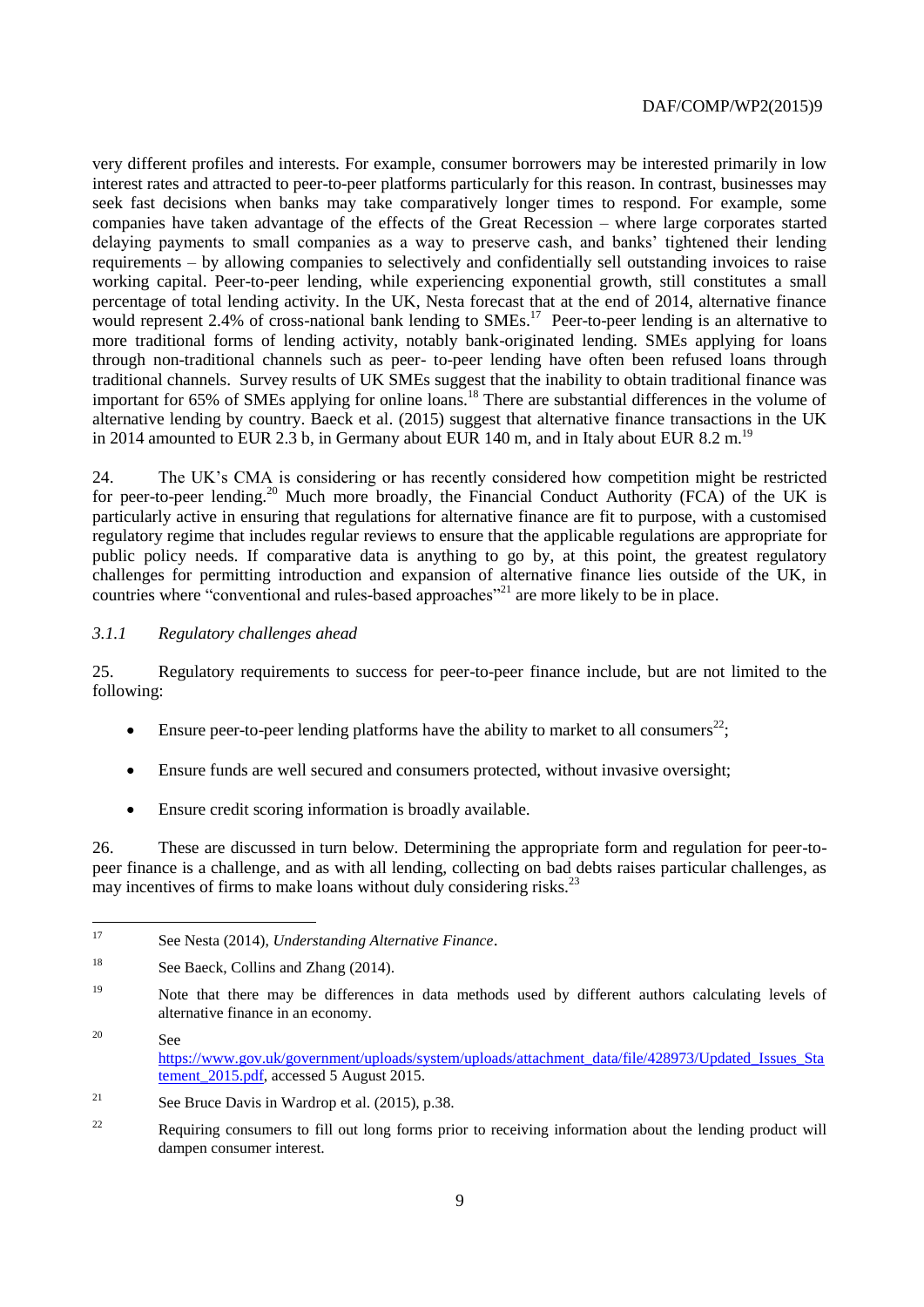very different profiles and interests. For example, consumer borrowers may be interested primarily in low interest rates and attracted to peer-to-peer platforms particularly for this reason. In contrast, businesses may seek fast decisions when banks may take comparatively longer times to respond. For example, some companies have taken advantage of the effects of the Great Recession – where large corporates started delaying payments to small companies as a way to preserve cash, and banks' tightened their lending requirements – by allowing companies to selectively and confidentially sell outstanding invoices to raise working capital. Peer-to-peer lending, while experiencing exponential growth, still constitutes a small percentage of total lending activity. In the UK, Nesta forecast that at the end of 2014, alternative finance would represent 2.4% of cross-national bank lending to SMEs.<sup>17</sup> Peer-to-peer lending is an alternative to more traditional forms of lending activity, notably bank-originated lending. SMEs applying for loans through non-traditional channels such as peer- to-peer lending have often been refused loans through traditional channels. Survey results of UK SMEs suggest that the inability to obtain traditional finance was important for 65% of SMEs applying for online loans.<sup>18</sup> There are substantial differences in the volume of alternative lending by country. Baeck et al. (2015) suggest that alternative finance transactions in the UK in 2014 amounted to EUR 2.3 b, in Germany about EUR 140 m, and in Italy about EUR 8.2 m.<sup>19</sup>

24. The UK's CMA is considering or has recently considered how competition might be restricted for peer-to-peer lending.<sup>20</sup> Much more broadly, the Financial Conduct Authority (FCA) of the UK is particularly active in ensuring that regulations for alternative finance are fit to purpose, with a customised regulatory regime that includes regular reviews to ensure that the applicable regulations are appropriate for public policy needs. If comparative data is anything to go by, at this point, the greatest regulatory challenges for permitting introduction and expansion of alternative finance lies outside of the UK, in countries where "conventional and rules-based approaches"<sup>21</sup> are more likely to be in place.

## *3.1.1 Regulatory challenges ahead*

25. Regulatory requirements to success for peer-to-peer finance include, but are not limited to the following:

- Ensure peer-to-peer lending platforms have the ability to market to all consumers<sup>22</sup>;
- Ensure funds are well secured and consumers protected, without invasive oversight;
- Ensure credit scoring information is broadly available.

26. These are discussed in turn below. Determining the appropriate form and regulation for peer-topeer finance is a challenge, and as with all lending, collecting on bad debts raises particular challenges, as may incentives of firms to make loans without duly considering risks.<sup>23</sup>

 $17$ <sup>17</sup> See Nesta (2014), *Understanding Alternative Finance*.

<sup>&</sup>lt;sup>18</sup> See Baeck, Collins and Zhang (2014).

<sup>&</sup>lt;sup>19</sup> Note that there may be differences in data methods used by different authors calculating levels of alternative finance in an economy.

<sup>20</sup> See [https://www.gov.uk/government/uploads/system/uploads/attachment\\_data/file/428973/Updated\\_Issues\\_Sta](https://www.gov.uk/government/uploads/system/uploads/attachment_data/file/428973/Updated_Issues_Statement_2015.pdf) tement 2015.pdf, accessed 5 August 2015.

<sup>&</sup>lt;sup>21</sup> See Bruce Davis in Wardrop et al.  $(2015)$ , p.38.

<sup>&</sup>lt;sup>22</sup> Requiring consumers to fill out long forms prior to receiving information about the lending product will dampen consumer interest.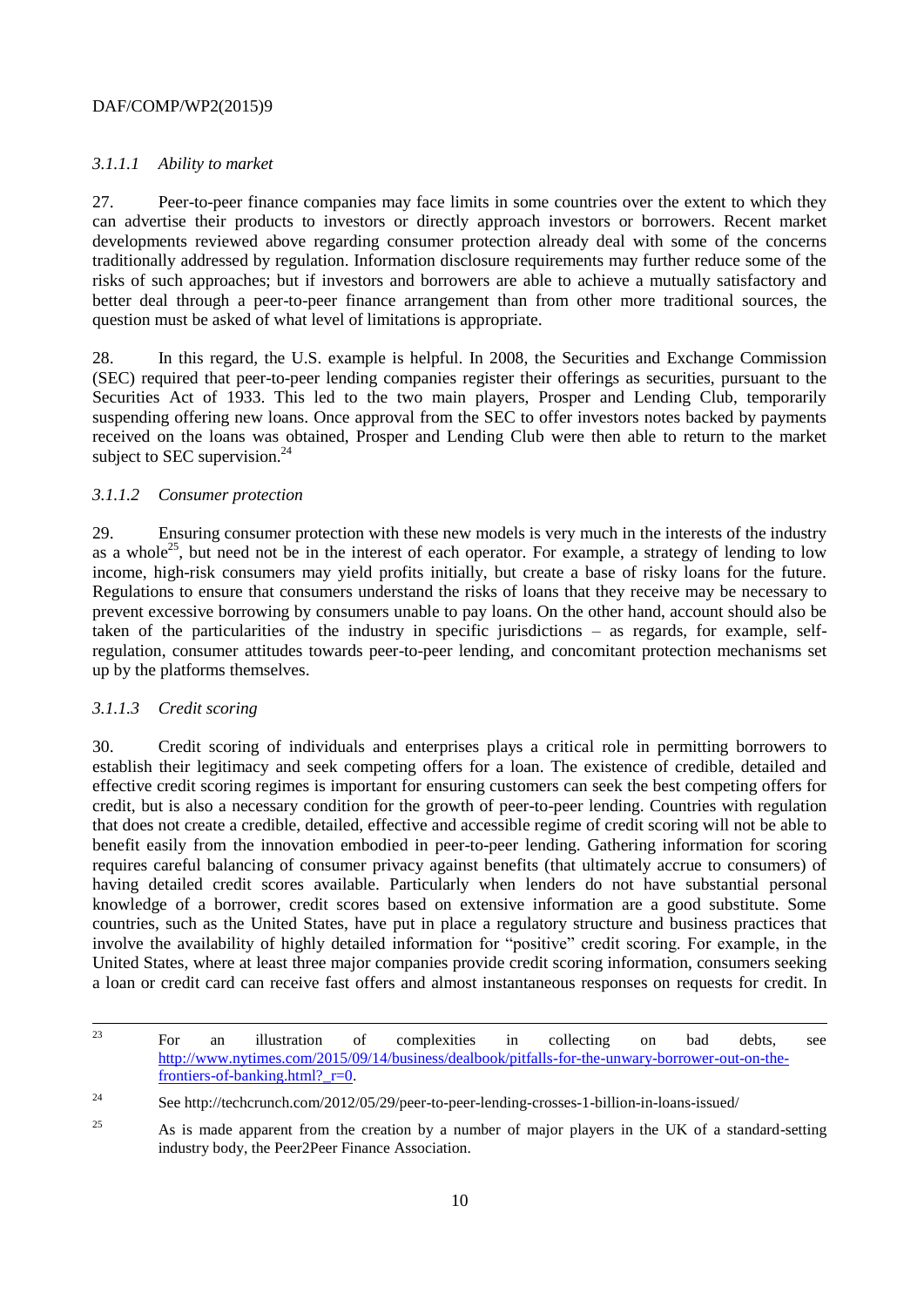## *3.1.1.1 Ability to market*

27. Peer-to-peer finance companies may face limits in some countries over the extent to which they can advertise their products to investors or directly approach investors or borrowers. Recent market developments reviewed above regarding consumer protection already deal with some of the concerns traditionally addressed by regulation. Information disclosure requirements may further reduce some of the risks of such approaches; but if investors and borrowers are able to achieve a mutually satisfactory and better deal through a peer-to-peer finance arrangement than from other more traditional sources, the question must be asked of what level of limitations is appropriate.

28. In this regard, the U.S. example is helpful. In 2008, the Securities and Exchange Commission (SEC) required that peer-to-peer lending companies register their offerings as securities, pursuant to the Securities Act of 1933. This led to the two main players, Prosper and Lending Club, temporarily suspending offering new loans. Once approval from the SEC to offer investors notes backed by payments received on the loans was obtained, Prosper and Lending Club were then able to return to the market subject to SEC supervision.<sup>24</sup>

## *3.1.1.2 Consumer protection*

29. Ensuring consumer protection with these new models is very much in the interests of the industry as a whole<sup>25</sup>, but need not be in the interest of each operator. For example, a strategy of lending to low income, high-risk consumers may yield profits initially, but create a base of risky loans for the future. Regulations to ensure that consumers understand the risks of loans that they receive may be necessary to prevent excessive borrowing by consumers unable to pay loans. On the other hand, account should also be taken of the particularities of the industry in specific jurisdictions – as regards, for example, selfregulation, consumer attitudes towards peer-to-peer lending, and concomitant protection mechanisms set up by the platforms themselves.

# *3.1.1.3 Credit scoring*

30. Credit scoring of individuals and enterprises plays a critical role in permitting borrowers to establish their legitimacy and seek competing offers for a loan. The existence of credible, detailed and effective credit scoring regimes is important for ensuring customers can seek the best competing offers for credit, but is also a necessary condition for the growth of peer-to-peer lending. Countries with regulation that does not create a credible, detailed, effective and accessible regime of credit scoring will not be able to benefit easily from the innovation embodied in peer-to-peer lending. Gathering information for scoring requires careful balancing of consumer privacy against benefits (that ultimately accrue to consumers) of having detailed credit scores available. Particularly when lenders do not have substantial personal knowledge of a borrower, credit scores based on extensive information are a good substitute. Some countries, such as the United States, have put in place a regulatory structure and business practices that involve the availability of highly detailed information for "positive" credit scoring. For example, in the United States, where at least three major companies provide credit scoring information, consumers seeking a loan or credit card can receive fast offers and almost instantaneous responses on requests for credit. In

 $\overline{23}$ <sup>23</sup> For an illustration of complexities in collecting on bad debts, see [http://www.nytimes.com/2015/09/14/business/dealbook/pitfalls-for-the-unwary-borrower-out-on-the](http://www.nytimes.com/2015/09/14/business/dealbook/pitfalls-for-the-unwary-borrower-out-on-the-frontiers-of-banking.html?_r=0)[frontiers-of-banking.html?\\_r=0.](http://www.nytimes.com/2015/09/14/business/dealbook/pitfalls-for-the-unwary-borrower-out-on-the-frontiers-of-banking.html?_r=0) 

<sup>24</sup> See http://techcrunch.com/2012/05/29/peer-to-peer-lending-crosses-1-billion-in-loans-issued/

<sup>&</sup>lt;sup>25</sup> As is made apparent from the creation by a number of major players in the UK of a standard-setting industry body, the Peer2Peer Finance Association.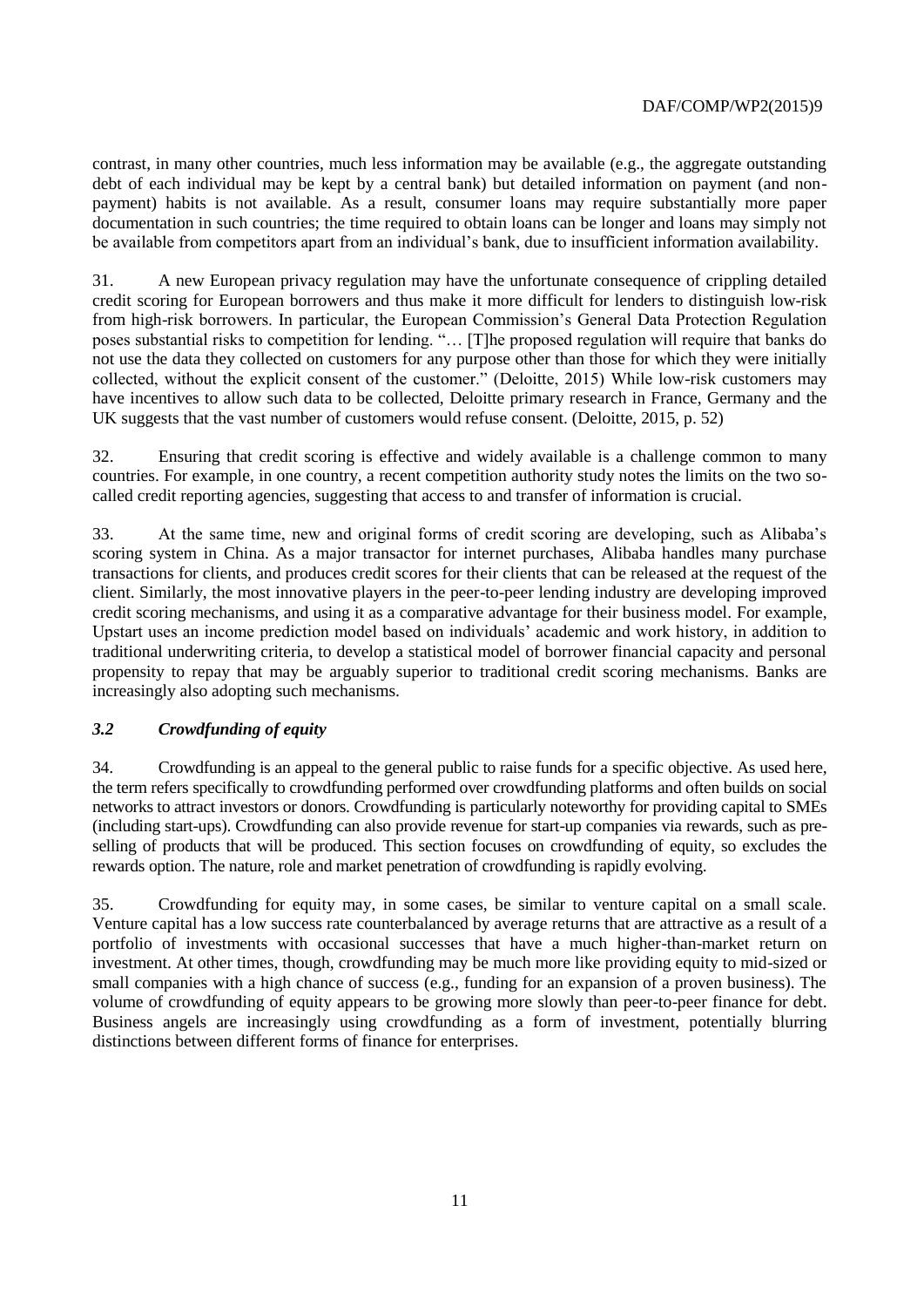contrast, in many other countries, much less information may be available (e.g., the aggregate outstanding debt of each individual may be kept by a central bank) but detailed information on payment (and nonpayment) habits is not available. As a result, consumer loans may require substantially more paper documentation in such countries; the time required to obtain loans can be longer and loans may simply not be available from competitors apart from an individual's bank, due to insufficient information availability.

31. A new European privacy regulation may have the unfortunate consequence of crippling detailed credit scoring for European borrowers and thus make it more difficult for lenders to distinguish low-risk from high-risk borrowers. In particular, the European Commission's General Data Protection Regulation poses substantial risks to competition for lending. "… [T]he proposed regulation will require that banks do not use the data they collected on customers for any purpose other than those for which they were initially collected, without the explicit consent of the customer." (Deloitte, 2015) While low-risk customers may have incentives to allow such data to be collected, Deloitte primary research in France, Germany and the UK suggests that the vast number of customers would refuse consent. (Deloitte, 2015, p. 52)

32. Ensuring that credit scoring is effective and widely available is a challenge common to many countries. For example, in one country, a recent competition authority study notes the limits on the two socalled credit reporting agencies, suggesting that access to and transfer of information is crucial.

33. At the same time, new and original forms of credit scoring are developing, such as Alibaba's scoring system in China. As a major transactor for internet purchases, Alibaba handles many purchase transactions for clients, and produces credit scores for their clients that can be released at the request of the client. Similarly, the most innovative players in the peer-to-peer lending industry are developing improved credit scoring mechanisms, and using it as a comparative advantage for their business model. For example, Upstart uses an income prediction model based on individuals' academic and work history, in addition to traditional underwriting criteria, to develop a statistical model of borrower financial capacity and personal propensity to repay that may be arguably superior to traditional credit scoring mechanisms. Banks are increasingly also adopting such mechanisms.

# *3.2 Crowdfunding of equity*

34. Crowdfunding is an appeal to the general public to raise funds for a specific objective. As used here, the term refers specifically to crowdfunding performed over crowdfunding platforms and often builds on social networks to attract investors or donors. Crowdfunding is particularly noteworthy for providing capital to SMEs (including start-ups). Crowdfunding can also provide revenue for start-up companies via rewards, such as preselling of products that will be produced. This section focuses on crowdfunding of equity, so excludes the rewards option. The nature, role and market penetration of crowdfunding is rapidly evolving.

35. Crowdfunding for equity may, in some cases, be similar to venture capital on a small scale. Venture capital has a low success rate counterbalanced by average returns that are attractive as a result of a portfolio of investments with occasional successes that have a much higher-than-market return on investment. At other times, though, crowdfunding may be much more like providing equity to mid-sized or small companies with a high chance of success (e.g., funding for an expansion of a proven business). The volume of crowdfunding of equity appears to be growing more slowly than peer-to-peer finance for debt. Business angels are increasingly using crowdfunding as a form of investment, potentially blurring distinctions between different forms of finance for enterprises.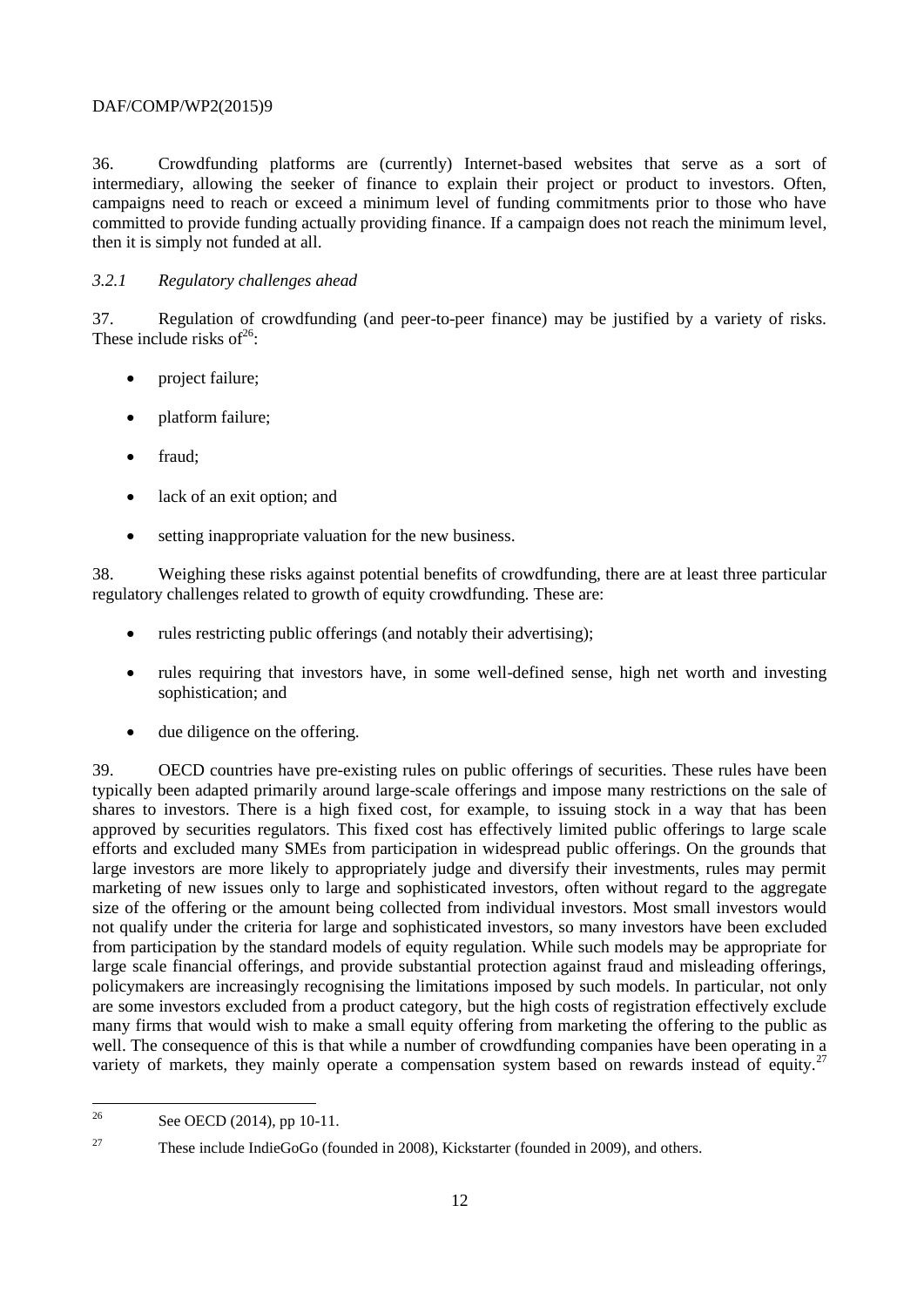36. Crowdfunding platforms are (currently) Internet-based websites that serve as a sort of intermediary, allowing the seeker of finance to explain their project or product to investors. Often, campaigns need to reach or exceed a minimum level of funding commitments prior to those who have committed to provide funding actually providing finance. If a campaign does not reach the minimum level, then it is simply not funded at all.

## *3.2.1 Regulatory challenges ahead*

37. Regulation of crowdfunding (and peer-to-peer finance) may be justified by a variety of risks. These include risks of  $26$ :

- project failure;
- platform failure;
- fraud;
- lack of an exit option; and
- setting inappropriate valuation for the new business.

38. Weighing these risks against potential benefits of crowdfunding, there are at least three particular regulatory challenges related to growth of equity crowdfunding. These are:

- rules restricting public offerings (and notably their advertising);
- rules requiring that investors have, in some well-defined sense, high net worth and investing sophistication; and
- due diligence on the offering.

39. OECD countries have pre-existing rules on public offerings of securities. These rules have been typically been adapted primarily around large-scale offerings and impose many restrictions on the sale of shares to investors. There is a high fixed cost, for example, to issuing stock in a way that has been approved by securities regulators. This fixed cost has effectively limited public offerings to large scale efforts and excluded many SMEs from participation in widespread public offerings. On the grounds that large investors are more likely to appropriately judge and diversify their investments, rules may permit marketing of new issues only to large and sophisticated investors, often without regard to the aggregate size of the offering or the amount being collected from individual investors. Most small investors would not qualify under the criteria for large and sophisticated investors, so many investors have been excluded from participation by the standard models of equity regulation. While such models may be appropriate for large scale financial offerings, and provide substantial protection against fraud and misleading offerings, policymakers are increasingly recognising the limitations imposed by such models. In particular, not only are some investors excluded from a product category, but the high costs of registration effectively exclude many firms that would wish to make a small equity offering from marketing the offering to the public as well. The consequence of this is that while a number of crowdfunding companies have been operating in a variety of markets, they mainly operate a compensation system based on rewards instead of equity.<sup>27</sup>

<sup>27</sup> These include IndieGoGo (founded in 2008), Kickstarter (founded in 2009), and others.

 $26$ See OECD (2014), pp 10-11.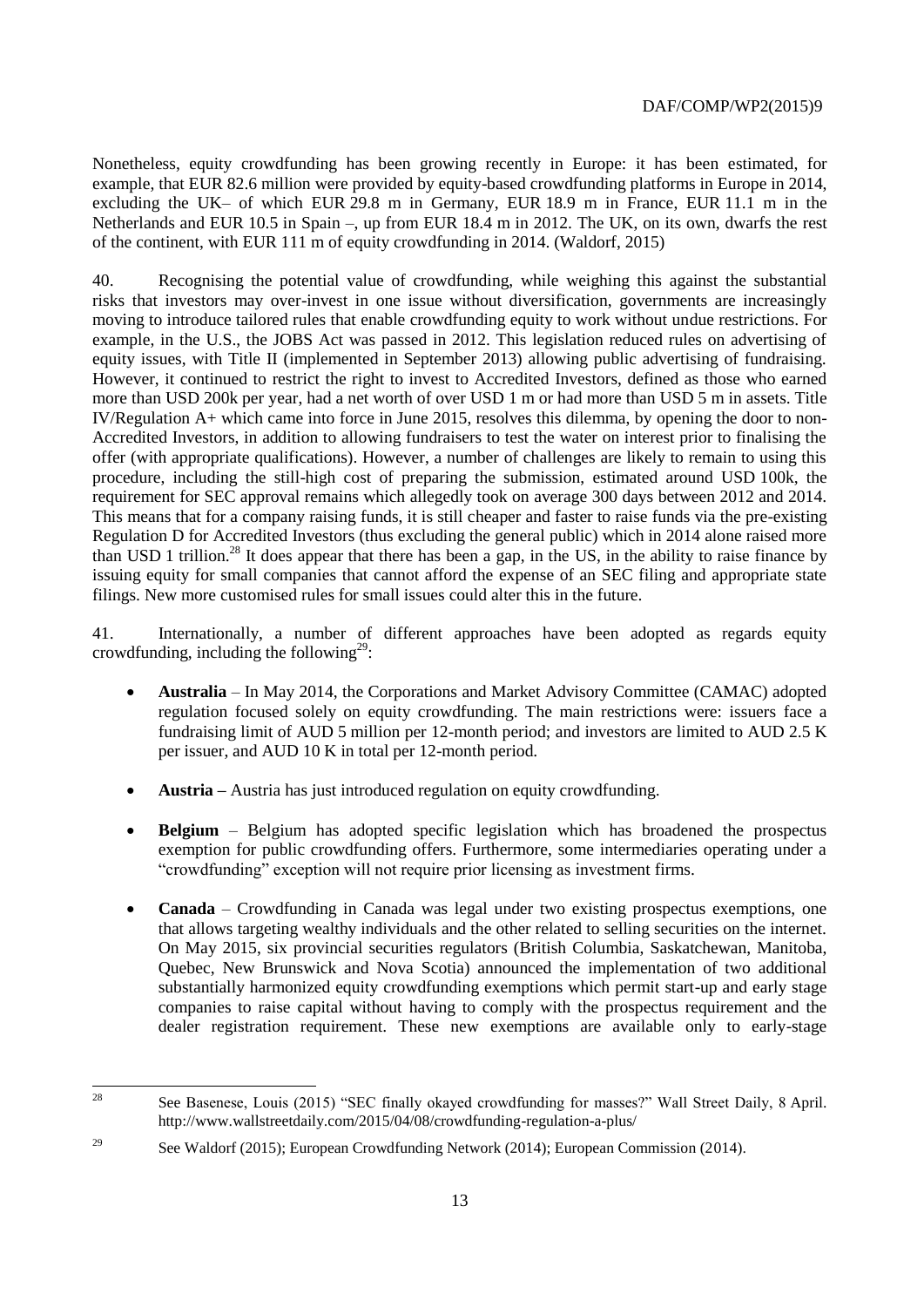Nonetheless, equity crowdfunding has been growing recently in Europe: it has been estimated, for example, that EUR 82.6 million were provided by equity-based crowdfunding platforms in Europe in 2014, excluding the UK– of which EUR 29.8 m in Germany, EUR 18.9 m in France, EUR 11.1 m in the Netherlands and EUR 10.5 in Spain –, up from EUR 18.4 m in 2012. The UK, on its own, dwarfs the rest of the continent, with EUR 111 m of equity crowdfunding in 2014. (Waldorf, 2015)

40. Recognising the potential value of crowdfunding, while weighing this against the substantial risks that investors may over-invest in one issue without diversification, governments are increasingly moving to introduce tailored rules that enable crowdfunding equity to work without undue restrictions. For example, in the U.S., the JOBS Act was passed in 2012. This legislation reduced rules on advertising of equity issues, with Title II (implemented in September 2013) allowing public advertising of fundraising. However, it continued to restrict the right to invest to Accredited Investors, defined as those who earned more than USD 200k per year, had a net worth of over USD 1 m or had more than USD 5 m in assets. Title IV/Regulation A+ which came into force in June 2015, resolves this dilemma, by opening the door to non-Accredited Investors, in addition to allowing fundraisers to test the water on interest prior to finalising the offer (with appropriate qualifications). However, a number of challenges are likely to remain to using this procedure, including the still-high cost of preparing the submission, estimated around USD 100k, the requirement for SEC approval remains which allegedly took on average 300 days between 2012 and 2014. This means that for a company raising funds, it is still cheaper and faster to raise funds via the pre-existing Regulation D for Accredited Investors (thus excluding the general public) which in 2014 alone raised more than USD 1 trillion.<sup>28</sup> It does appear that there has been a gap, in the US, in the ability to raise finance by issuing equity for small companies that cannot afford the expense of an SEC filing and appropriate state filings. New more customised rules for small issues could alter this in the future.

41. Internationally, a number of different approaches have been adopted as regards equity crowdfunding, including the following<sup>29</sup>:

- **Australia** In May 2014, the Corporations and Market Advisory Committee (CAMAC) adopted regulation focused solely on equity crowdfunding. The main restrictions were: issuers face a fundraising limit of AUD 5 million per 12-month period; and investors are limited to AUD 2.5 K per issuer, and AUD 10 K in total per 12-month period.
- **Austria –** Austria has just introduced regulation on equity crowdfunding.
- **Belgium**  Belgium has adopted specific legislation which has broadened the prospectus exemption for public crowdfunding offers. Furthermore, some intermediaries operating under a "crowdfunding" exception will not require prior licensing as investment firms.
- **Canada**  Crowdfunding in Canada was legal under two existing prospectus exemptions, one that allows targeting wealthy individuals and the other related to selling securities on the internet. On May 2015, six provincial securities regulators (British Columbia, Saskatchewan, Manitoba, Quebec, New Brunswick and Nova Scotia) announced the implementation of two additional substantially harmonized equity crowdfunding exemptions which permit start-up and early stage companies to raise capital without having to comply with the prospectus requirement and the dealer registration requirement. These new exemptions are available only to early-stage

<sup>28</sup> <sup>28</sup> See Basenese, Louis (2015) "SEC finally okayed crowdfunding for masses?" Wall Street Daily, 8 April. http://www.wallstreetdaily.com/2015/04/08/crowdfunding-regulation-a-plus/

<sup>&</sup>lt;sup>29</sup> See Waldorf (2015); European Crowdfunding Network (2014); European Commission (2014).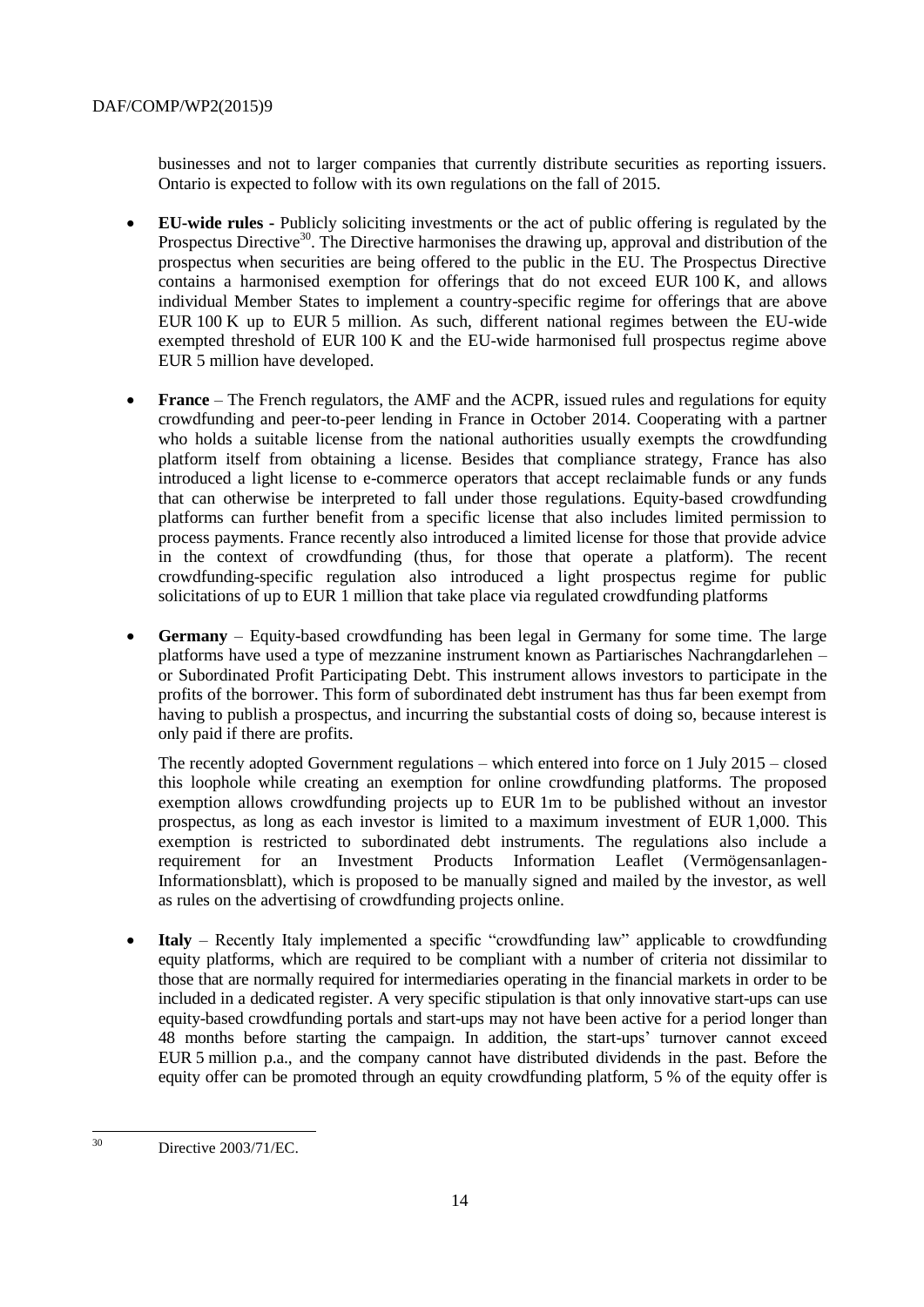businesses and not to larger companies that currently distribute securities as reporting issuers. Ontario is expected to follow with its own regulations on the fall of 2015.

- **EU-wide rules -** Publicly soliciting investments or the act of public offering is regulated by the Prospectus Directive<sup>30</sup>. The Directive harmonises the drawing up, approval and distribution of the prospectus when securities are being offered to the public in the EU. The Prospectus Directive contains a harmonised exemption for offerings that do not exceed EUR 100 K, and allows individual Member States to implement a country-specific regime for offerings that are above EUR 100 K up to EUR 5 million. As such, different national regimes between the EU-wide exempted threshold of EUR 100 K and the EU-wide harmonised full prospectus regime above EUR 5 million have developed.
- **France** The French regulators, the AMF and the ACPR, issued rules and regulations for equity crowdfunding and peer-to-peer lending in France in October 2014. Cooperating with a partner who holds a suitable license from the national authorities usually exempts the crowdfunding platform itself from obtaining a license. Besides that compliance strategy, France has also introduced a light license to e-commerce operators that accept reclaimable funds or any funds that can otherwise be interpreted to fall under those regulations. Equity-based crowdfunding platforms can further benefit from a specific license that also includes limited permission to process payments. France recently also introduced a limited license for those that provide advice in the context of crowdfunding (thus, for those that operate a platform). The recent crowdfunding-specific regulation also introduced a light prospectus regime for public solicitations of up to EUR 1 million that take place via regulated crowdfunding platforms
- **Germany** Equity-based crowdfunding has been legal in Germany for some time. The large platforms have used a type of mezzanine instrument known as Partiarisches Nachrangdarlehen – or Subordinated Profit Participating Debt. This instrument allows investors to participate in the profits of the borrower. This form of subordinated debt instrument has thus far been exempt from having to publish a prospectus, and incurring the substantial costs of doing so, because interest is only paid if there are profits.

The recently adopted Government regulations – which entered into force on 1 July 2015 – closed this loophole while creating an exemption for online crowdfunding platforms. The proposed exemption allows crowdfunding projects up to EUR 1m to be published without an investor prospectus, as long as each investor is limited to a maximum investment of EUR 1,000. This exemption is restricted to subordinated debt instruments. The regulations also include a requirement for an Investment Products Information Leaflet (Vermögensanlagen-Informationsblatt), which is proposed to be manually signed and mailed by the investor, as well as rules on the advertising of crowdfunding projects online.

• **Italy** – Recently Italy implemented a specific "crowdfunding law" applicable to crowdfunding equity platforms, which are required to be compliant with a number of criteria not dissimilar to those that are normally required for intermediaries operating in the financial markets in order to be included in a dedicated register. A very specific stipulation is that only innovative start-ups can use equity-based crowdfunding portals and start-ups may not have been active for a period longer than 48 months before starting the campaign. In addition, the start-ups' turnover cannot exceed EUR 5 million p.a., and the company cannot have distributed dividends in the past. Before the equity offer can be promoted through an equity crowdfunding platform, 5 % of the equity offer is

 $30^{\circ}$ Directive 2003/71/EC.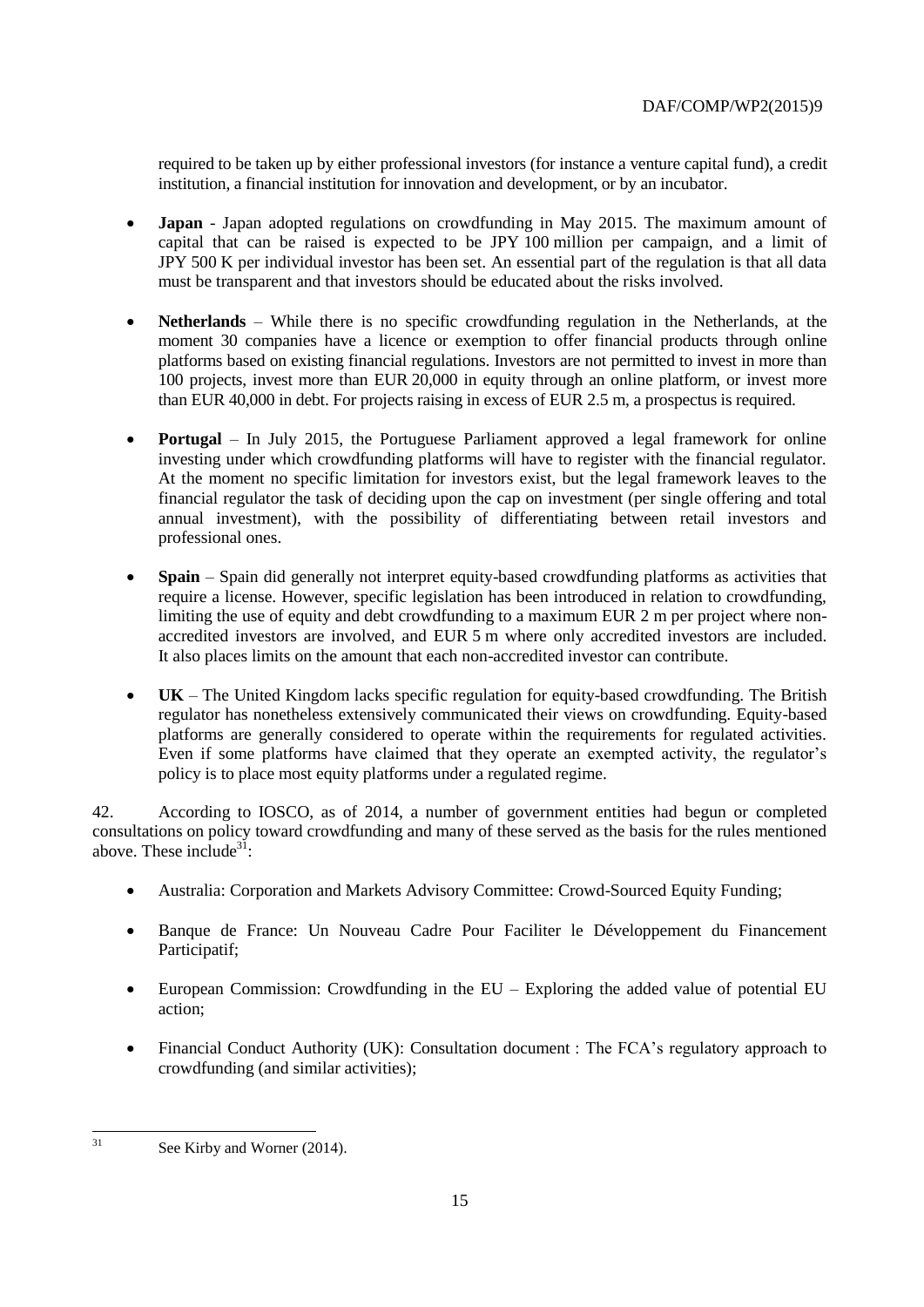required to be taken up by either professional investors (for instance a venture capital fund), a credit institution, a financial institution for innovation and development, or by an incubator.

- **Japan** Japan adopted regulations on crowdfunding in May 2015. The maximum amount of capital that can be raised is expected to be JPY 100 million per campaign, and a limit of JPY 500 K per individual investor has been set. An essential part of the regulation is that all data must be transparent and that investors should be educated about the risks involved.
- **Netherlands** While there is no specific crowdfunding regulation in the Netherlands, at the moment 30 companies have a licence or exemption to offer financial products through online platforms based on existing financial regulations. Investors are not permitted to invest in more than 100 projects, invest more than EUR 20,000 in equity through an online platform, or invest more than EUR 40,000 in debt. For projects raising in excess of EUR 2.5 m, a prospectus is required.
- **Portugal** In July 2015, the Portuguese Parliament approved a legal framework for online investing under which crowdfunding platforms will have to register with the financial regulator. At the moment no specific limitation for investors exist, but the legal framework leaves to the financial regulator the task of deciding upon the cap on investment (per single offering and total annual investment), with the possibility of differentiating between retail investors and professional ones.
- **Spain** Spain did generally not interpret equity-based crowdfunding platforms as activities that require a license. However, specific legislation has been introduced in relation to crowdfunding, limiting the use of equity and debt crowdfunding to a maximum EUR 2 m per project where nonaccredited investors are involved, and EUR 5 m where only accredited investors are included. It also places limits on the amount that each non-accredited investor can contribute.
- **UK**  The United Kingdom lacks specific regulation for equity-based crowdfunding. The British regulator has nonetheless extensively communicated their views on crowdfunding. Equity-based platforms are generally considered to operate within the requirements for regulated activities. Even if some platforms have claimed that they operate an exempted activity, the regulator's policy is to place most equity platforms under a regulated regime.

42. According to IOSCO, as of 2014, a number of government entities had begun or completed consultations on policy toward crowdfunding and many of these served as the basis for the rules mentioned above. These include<sup>31</sup>:

- Australia: Corporation and Markets Advisory Committee: Crowd-Sourced Equity Funding;
- Banque de France: Un Nouveau Cadre Pour Faciliter le Développement du Financement Participatif;
- European Commission: Crowdfunding in the EU Exploring the added value of potential EU action;
- Financial Conduct Authority (UK): Consultation document : The FCA's regulatory approach to crowdfunding (and similar activities);

 $31$ 

See Kirby and Worner (2014).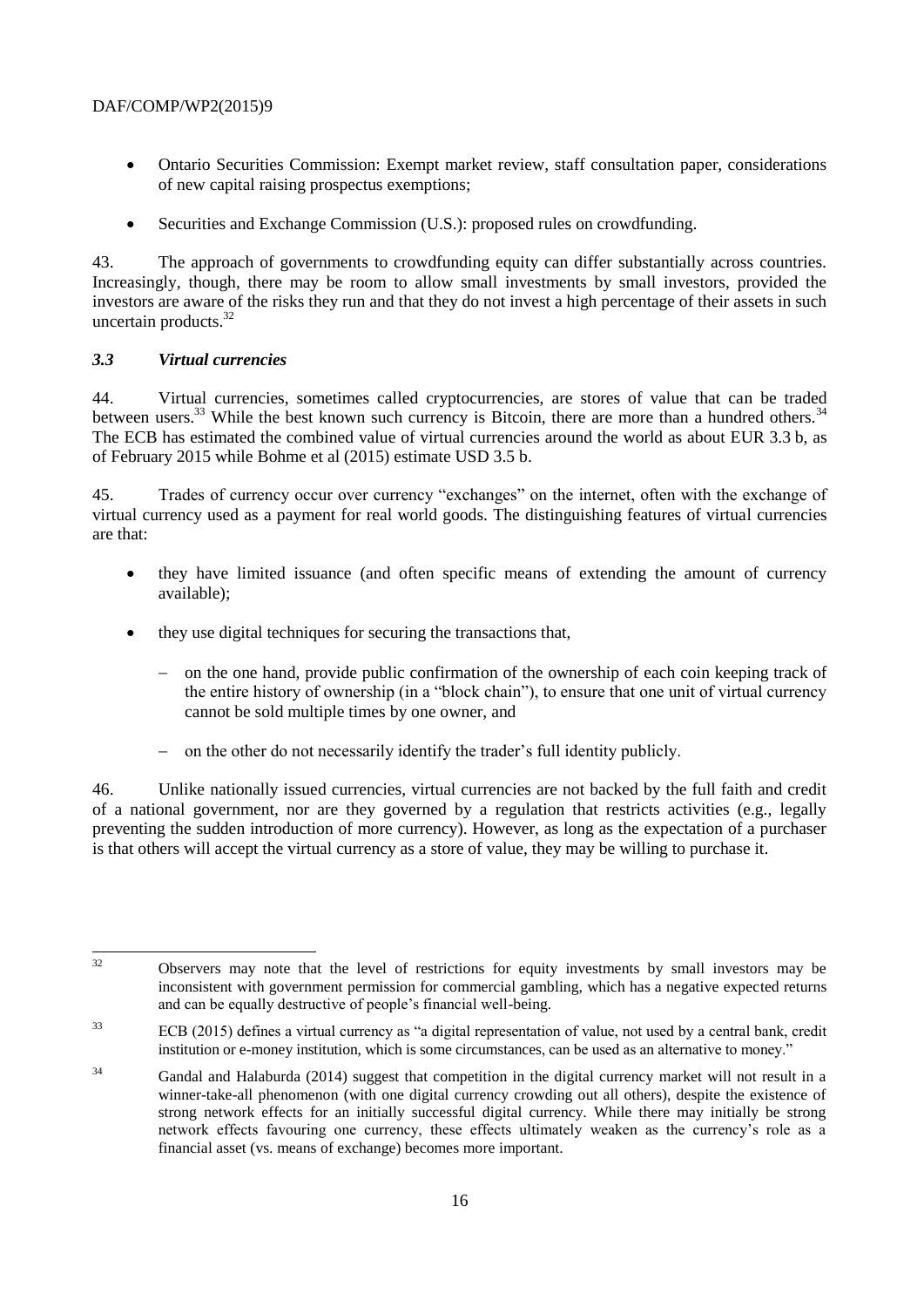- Ontario Securities Commission: Exempt market review, staff consultation paper, considerations of new capital raising prospectus exemptions;
- Securities and Exchange Commission (U.S.): proposed rules on crowdfunding.

43. The approach of governments to crowdfunding equity can differ substantially across countries. Increasingly, though, there may be room to allow small investments by small investors, provided the investors are aware of the risks they run and that they do not invest a high percentage of their assets in such uncertain products.<sup>32</sup>

#### *3.3 Virtual currencies*

44. Virtual currencies, sometimes called cryptocurrencies, are stores of value that can be traded between users.<sup>33</sup> While the best known such currency is Bitcoin, there are more than a hundred others.<sup>34</sup> The ECB has estimated the combined value of virtual currencies around the world as about EUR 3.3 b, as of February 2015 while Bohme et al (2015) estimate USD 3.5 b.

45. Trades of currency occur over currency "exchanges" on the internet, often with the exchange of virtual currency used as a payment for real world goods. The distinguishing features of virtual currencies are that:

- they have limited issuance (and often specific means of extending the amount of currency available);
- they use digital techniques for securing the transactions that,
	- on the one hand, provide public confirmation of the ownership of each coin keeping track of the entire history of ownership (in a "block chain"), to ensure that one unit of virtual currency cannot be sold multiple times by one owner, and
	- on the other do not necessarily identify the trader's full identity publicly.

46. Unlike nationally issued currencies, virtual currencies are not backed by the full faith and credit of a national government, nor are they governed by a regulation that restricts activities (e.g., legally preventing the sudden introduction of more currency). However, as long as the expectation of a purchaser is that others will accept the virtual currency as a store of value, they may be willing to purchase it.

 $32$ Observers may note that the level of restrictions for equity investments by small investors may be inconsistent with government permission for commercial gambling, which has a negative expected returns and can be equally destructive of people's financial well-being.

<sup>&</sup>lt;sup>33</sup> ECB (2015) defines a virtual currency as "a digital representation of value, not used by a central bank, credit institution or e-money institution, which is some circumstances, can be used as an alternative to money."

<sup>&</sup>lt;sup>34</sup> Gandal and Halaburda (2014) suggest that competition in the digital currency market will not result in a winner-take-all phenomenon (with one digital currency crowding out all others), despite the existence of strong network effects for an initially successful digital currency. While there may initially be strong network effects favouring one currency, these effects ultimately weaken as the currency's role as a financial asset (vs. means of exchange) becomes more important.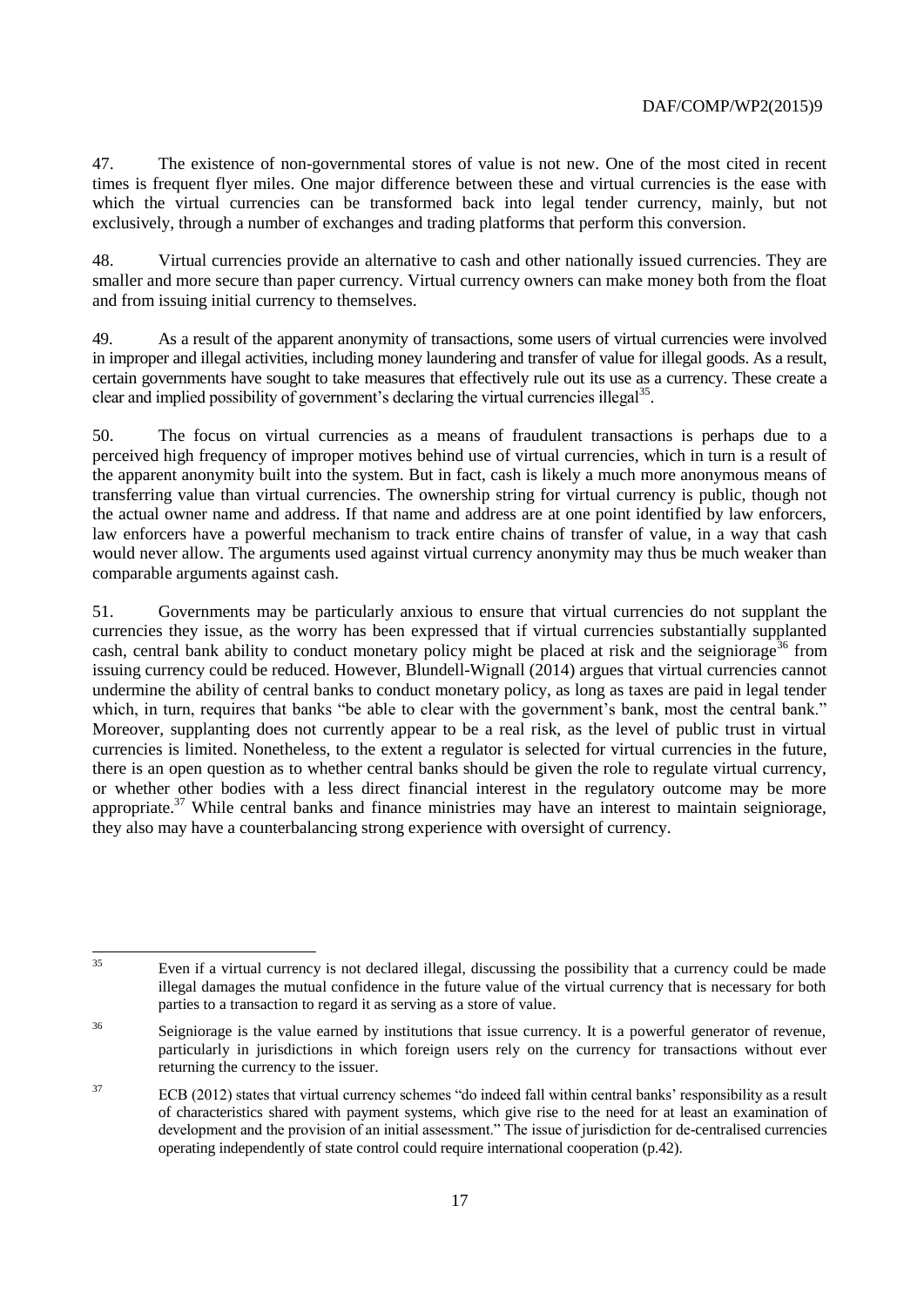47. The existence of non-governmental stores of value is not new. One of the most cited in recent times is frequent flyer miles. One major difference between these and virtual currencies is the ease with which the virtual currencies can be transformed back into legal tender currency, mainly, but not exclusively, through a number of exchanges and trading platforms that perform this conversion.

48. Virtual currencies provide an alternative to cash and other nationally issued currencies. They are smaller and more secure than paper currency. Virtual currency owners can make money both from the float and from issuing initial currency to themselves.

49. As a result of the apparent anonymity of transactions, some users of virtual currencies were involved in improper and illegal activities, including money laundering and transfer of value for illegal goods. As a result, certain governments have sought to take measures that effectively rule out its use as a currency. These create a clear and implied possibility of government's declaring the virtual currencies illegal<sup>35</sup>.

50. The focus on virtual currencies as a means of fraudulent transactions is perhaps due to a perceived high frequency of improper motives behind use of virtual currencies, which in turn is a result of the apparent anonymity built into the system. But in fact, cash is likely a much more anonymous means of transferring value than virtual currencies. The ownership string for virtual currency is public, though not the actual owner name and address. If that name and address are at one point identified by law enforcers, law enforcers have a powerful mechanism to track entire chains of transfer of value, in a way that cash would never allow. The arguments used against virtual currency anonymity may thus be much weaker than comparable arguments against cash.

51. Governments may be particularly anxious to ensure that virtual currencies do not supplant the currencies they issue, as the worry has been expressed that if virtual currencies substantially supplanted cash, central bank ability to conduct monetary policy might be placed at risk and the seigniorage<sup>36</sup> from issuing currency could be reduced. However, Blundell-Wignall (2014) argues that virtual currencies cannot undermine the ability of central banks to conduct monetary policy, as long as taxes are paid in legal tender which, in turn, requires that banks "be able to clear with the government's bank, most the central bank." Moreover, supplanting does not currently appear to be a real risk, as the level of public trust in virtual currencies is limited. Nonetheless, to the extent a regulator is selected for virtual currencies in the future, there is an open question as to whether central banks should be given the role to regulate virtual currency, or whether other bodies with a less direct financial interest in the regulatory outcome may be more appropriate.<sup>37</sup> While central banks and finance ministries may have an interest to maintain seigniorage, they also may have a counterbalancing strong experience with oversight of currency.

 $35$ Even if a virtual currency is not declared illegal, discussing the possibility that a currency could be made illegal damages the mutual confidence in the future value of the virtual currency that is necessary for both parties to a transaction to regard it as serving as a store of value.

<sup>&</sup>lt;sup>36</sup> Seigniorage is the value earned by institutions that issue currency. It is a powerful generator of revenue, particularly in jurisdictions in which foreign users rely on the currency for transactions without ever returning the currency to the issuer.

<sup>&</sup>lt;sup>37</sup> ECB (2012) states that virtual currency schemes "do indeed fall within central banks' responsibility as a result of characteristics shared with payment systems, which give rise to the need for at least an examination of development and the provision of an initial assessment." The issue of jurisdiction for de-centralised currencies operating independently of state control could require international cooperation (p.42).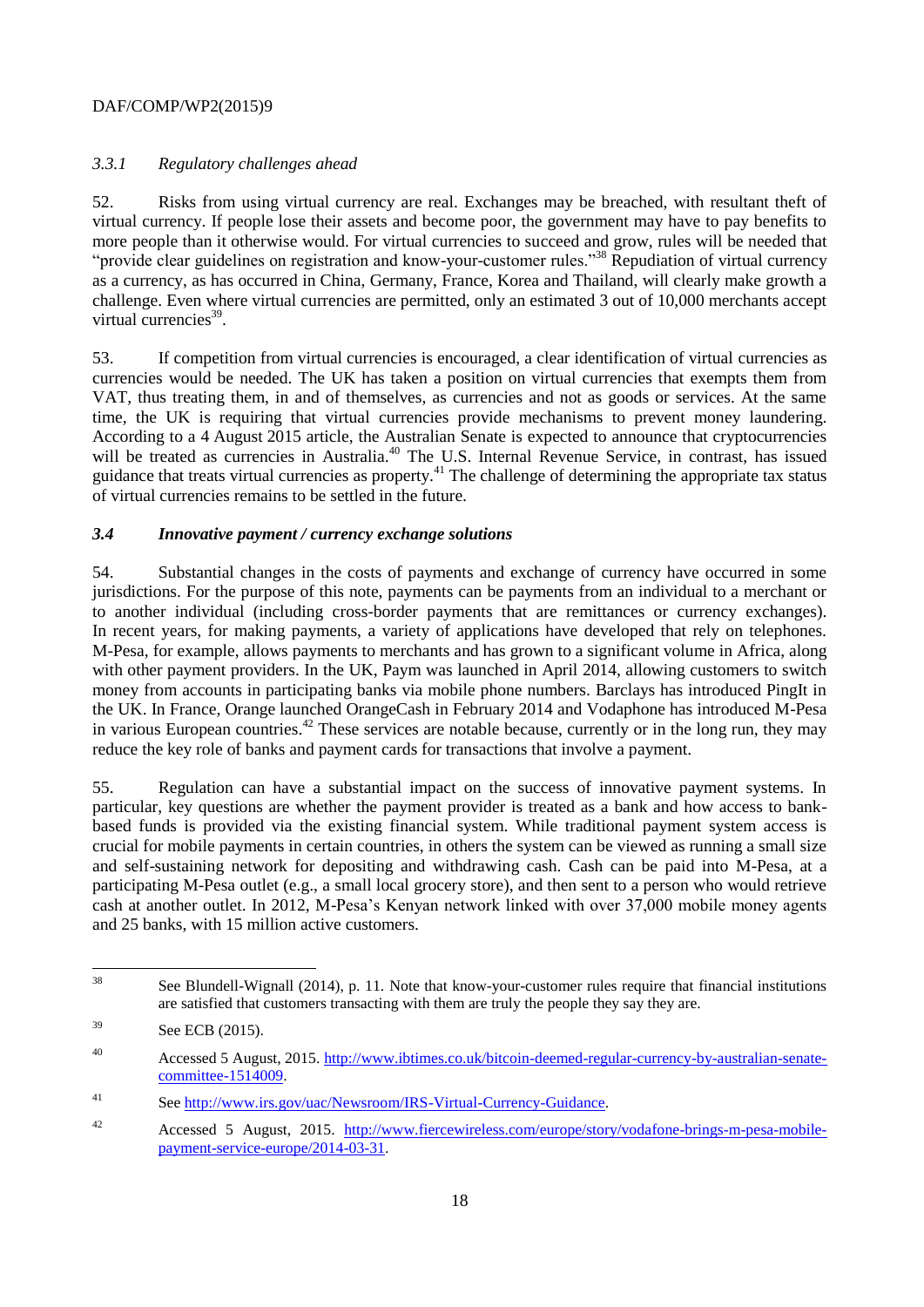## *3.3.1 Regulatory challenges ahead*

52. Risks from using virtual currency are real. Exchanges may be breached, with resultant theft of virtual currency. If people lose their assets and become poor, the government may have to pay benefits to more people than it otherwise would. For virtual currencies to succeed and grow, rules will be needed that "provide clear guidelines on registration and know-your-customer rules."<sup>38</sup> Repudiation of virtual currency as a currency, as has occurred in China, Germany, France, Korea and Thailand, will clearly make growth a challenge. Even where virtual currencies are permitted, only an estimated 3 out of 10,000 merchants accept virtual currencies<sup>39</sup>.

53. If competition from virtual currencies is encouraged, a clear identification of virtual currencies as currencies would be needed. The UK has taken a position on virtual currencies that exempts them from VAT, thus treating them, in and of themselves, as currencies and not as goods or services. At the same time, the UK is requiring that virtual currencies provide mechanisms to prevent money laundering. According to a 4 August 2015 article, the Australian Senate is expected to announce that cryptocurrencies will be treated as currencies in Australia.<sup>40</sup> The U.S. Internal Revenue Service, in contrast, has issued guidance that treats virtual currencies as property.<sup>41</sup> The challenge of determining the appropriate tax status of virtual currencies remains to be settled in the future.

## *3.4 Innovative payment / currency exchange solutions*

54. Substantial changes in the costs of payments and exchange of currency have occurred in some jurisdictions. For the purpose of this note, payments can be payments from an individual to a merchant or to another individual (including cross-border payments that are remittances or currency exchanges). In recent years, for making payments, a variety of applications have developed that rely on telephones. M-Pesa, for example, allows payments to merchants and has grown to a significant volume in Africa, along with other payment providers. In the UK, Paym was launched in April 2014, allowing customers to switch money from accounts in participating banks via mobile phone numbers. Barclays has introduced PingIt in the UK. In France, Orange launched OrangeCash in February 2014 and Vodaphone has introduced M-Pesa in various European countries.<sup>42</sup> These services are notable because, currently or in the long run, they may reduce the key role of banks and payment cards for transactions that involve a payment.

55. Regulation can have a substantial impact on the success of innovative payment systems. In particular, key questions are whether the payment provider is treated as a bank and how access to bankbased funds is provided via the existing financial system. While traditional payment system access is crucial for mobile payments in certain countries, in others the system can be viewed as running a small size and self-sustaining network for depositing and withdrawing cash. Cash can be paid into M-Pesa, at a participating M-Pesa outlet (e.g., a small local grocery store), and then sent to a person who would retrieve cash at another outlet. In 2012, M-Pesa's Kenyan network linked with over 37,000 mobile money agents and 25 banks, with 15 million active customers.

<sup>38</sup> See Blundell-Wignall (2014), p. 11. Note that know-your-customer rules require that financial institutions are satisfied that customers transacting with them are truly the people they say they are.

<sup>&</sup>lt;sup>39</sup> See ECB (2015).

<sup>40</sup> Accessed 5 August, 2015. [http://www.ibtimes.co.uk/bitcoin-deemed-regular-currency-by-australian-senate](http://www.ibtimes.co.uk/bitcoin-deemed-regular-currency-by-australian-senate-committee-1514009)[committee-1514009.](http://www.ibtimes.co.uk/bitcoin-deemed-regular-currency-by-australian-senate-committee-1514009)

<sup>41</sup> See [http://www.irs.gov/uac/Newsroom/IRS-Virtual-Currency-Guidance.](http://www.irs.gov/uac/Newsroom/IRS-Virtual-Currency-Guidance)

<sup>42</sup> Accessed 5 August, 2015. [http://www.fiercewireless.com/europe/story/vodafone-brings-m-pesa-mobile](http://www.fiercewireless.com/europe/story/vodafone-brings-m-pesa-mobile-payment-service-europe/2014-03-31)[payment-service-europe/2014-03-31.](http://www.fiercewireless.com/europe/story/vodafone-brings-m-pesa-mobile-payment-service-europe/2014-03-31)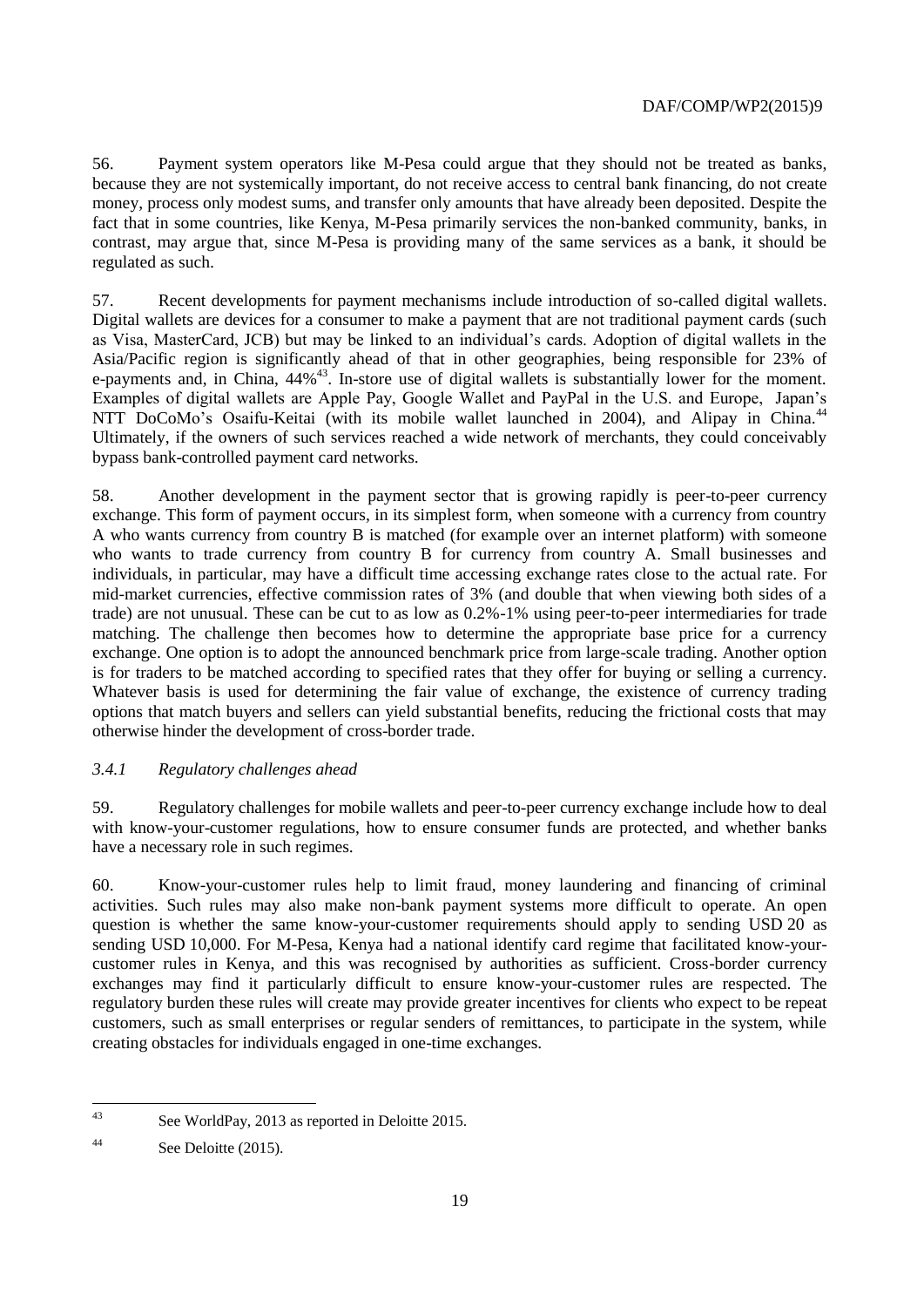56. Payment system operators like M-Pesa could argue that they should not be treated as banks, because they are not systemically important, do not receive access to central bank financing, do not create money, process only modest sums, and transfer only amounts that have already been deposited. Despite the fact that in some countries, like Kenya, M-Pesa primarily services the non-banked community, banks, in contrast, may argue that, since M-Pesa is providing many of the same services as a bank, it should be regulated as such.

57. Recent developments for payment mechanisms include introduction of so-called digital wallets. Digital wallets are devices for a consumer to make a payment that are not traditional payment cards (such as Visa, MasterCard, JCB) but may be linked to an individual's cards. Adoption of digital wallets in the Asia/Pacific region is significantly ahead of that in other geographies, being responsible for 23% of e-payments and, in China,  $44\%$ <sup>43</sup>. In-store use of digital wallets is substantially lower for the moment. Examples of digital wallets are Apple Pay, Google Wallet and PayPal in the U.S. and Europe, Japan's NTT DoCoMo's Osaifu-Keitai (with its mobile wallet launched in 2004), and Alipay in China.<sup>44</sup> Ultimately, if the owners of such services reached a wide network of merchants, they could conceivably bypass bank-controlled payment card networks.

58. Another development in the payment sector that is growing rapidly is peer-to-peer currency exchange. This form of payment occurs, in its simplest form, when someone with a currency from country A who wants currency from country B is matched (for example over an internet platform) with someone who wants to trade currency from country B for currency from country A. Small businesses and individuals, in particular, may have a difficult time accessing exchange rates close to the actual rate. For mid-market currencies, effective commission rates of 3% (and double that when viewing both sides of a trade) are not unusual. These can be cut to as low as 0.2%-1% using peer-to-peer intermediaries for trade matching. The challenge then becomes how to determine the appropriate base price for a currency exchange. One option is to adopt the announced benchmark price from large-scale trading. Another option is for traders to be matched according to specified rates that they offer for buying or selling a currency. Whatever basis is used for determining the fair value of exchange, the existence of currency trading options that match buyers and sellers can yield substantial benefits, reducing the frictional costs that may otherwise hinder the development of cross-border trade.

#### *3.4.1 Regulatory challenges ahead*

59. Regulatory challenges for mobile wallets and peer-to-peer currency exchange include how to deal with know-your-customer regulations, how to ensure consumer funds are protected, and whether banks have a necessary role in such regimes.

60. Know-your-customer rules help to limit fraud, money laundering and financing of criminal activities. Such rules may also make non-bank payment systems more difficult to operate. An open question is whether the same know-your-customer requirements should apply to sending USD 20 as sending USD 10,000. For M-Pesa, Kenya had a national identify card regime that facilitated know-yourcustomer rules in Kenya, and this was recognised by authorities as sufficient. Cross-border currency exchanges may find it particularly difficult to ensure know-your-customer rules are respected. The regulatory burden these rules will create may provide greater incentives for clients who expect to be repeat customers, such as small enterprises or regular senders of remittances, to participate in the system, while creating obstacles for individuals engaged in one-time exchanges.

 $\overline{43}$ See WorldPay, 2013 as reported in Deloitte 2015.

<sup>44</sup> See Deloitte (2015).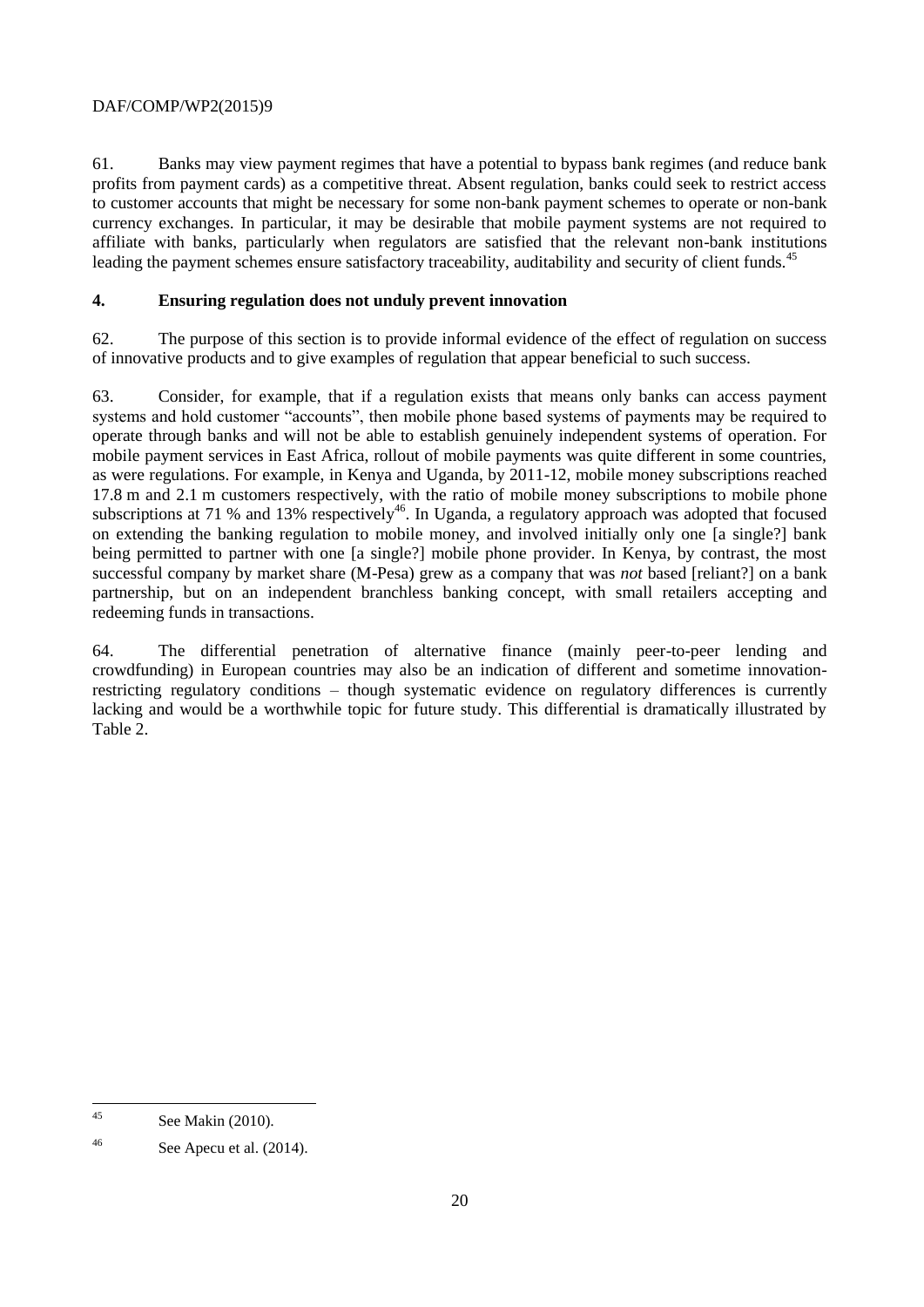61. Banks may view payment regimes that have a potential to bypass bank regimes (and reduce bank profits from payment cards) as a competitive threat. Absent regulation, banks could seek to restrict access to customer accounts that might be necessary for some non-bank payment schemes to operate or non-bank currency exchanges. In particular, it may be desirable that mobile payment systems are not required to affiliate with banks, particularly when regulators are satisfied that the relevant non-bank institutions leading the payment schemes ensure satisfactory traceability, auditability and security of client funds.<sup>45</sup>

## **4. Ensuring regulation does not unduly prevent innovation**

62. The purpose of this section is to provide informal evidence of the effect of regulation on success of innovative products and to give examples of regulation that appear beneficial to such success.

63. Consider, for example, that if a regulation exists that means only banks can access payment systems and hold customer "accounts", then mobile phone based systems of payments may be required to operate through banks and will not be able to establish genuinely independent systems of operation. For mobile payment services in East Africa, rollout of mobile payments was quite different in some countries, as were regulations. For example, in Kenya and Uganda, by 2011-12, mobile money subscriptions reached 17.8 m and 2.1 m customers respectively, with the ratio of mobile money subscriptions to mobile phone subscriptions at 71 % and 13% respectively<sup>46</sup>. In Uganda, a regulatory approach was adopted that focused on extending the banking regulation to mobile money, and involved initially only one [a single?] bank being permitted to partner with one [a single?] mobile phone provider. In Kenya, by contrast, the most successful company by market share (M-Pesa) grew as a company that was *not* based [reliant?] on a bank partnership, but on an independent branchless banking concept, with small retailers accepting and redeeming funds in transactions.

64. The differential penetration of alternative finance (mainly peer-to-peer lending and crowdfunding) in European countries may also be an indication of different and sometime innovationrestricting regulatory conditions – though systematic evidence on regulatory differences is currently lacking and would be a worthwhile topic for future study. This differential is dramatically illustrated by Table 2.

 $\overline{45}$ See Makin (2010).

 $^{46}$  See Apecu et al. (2014).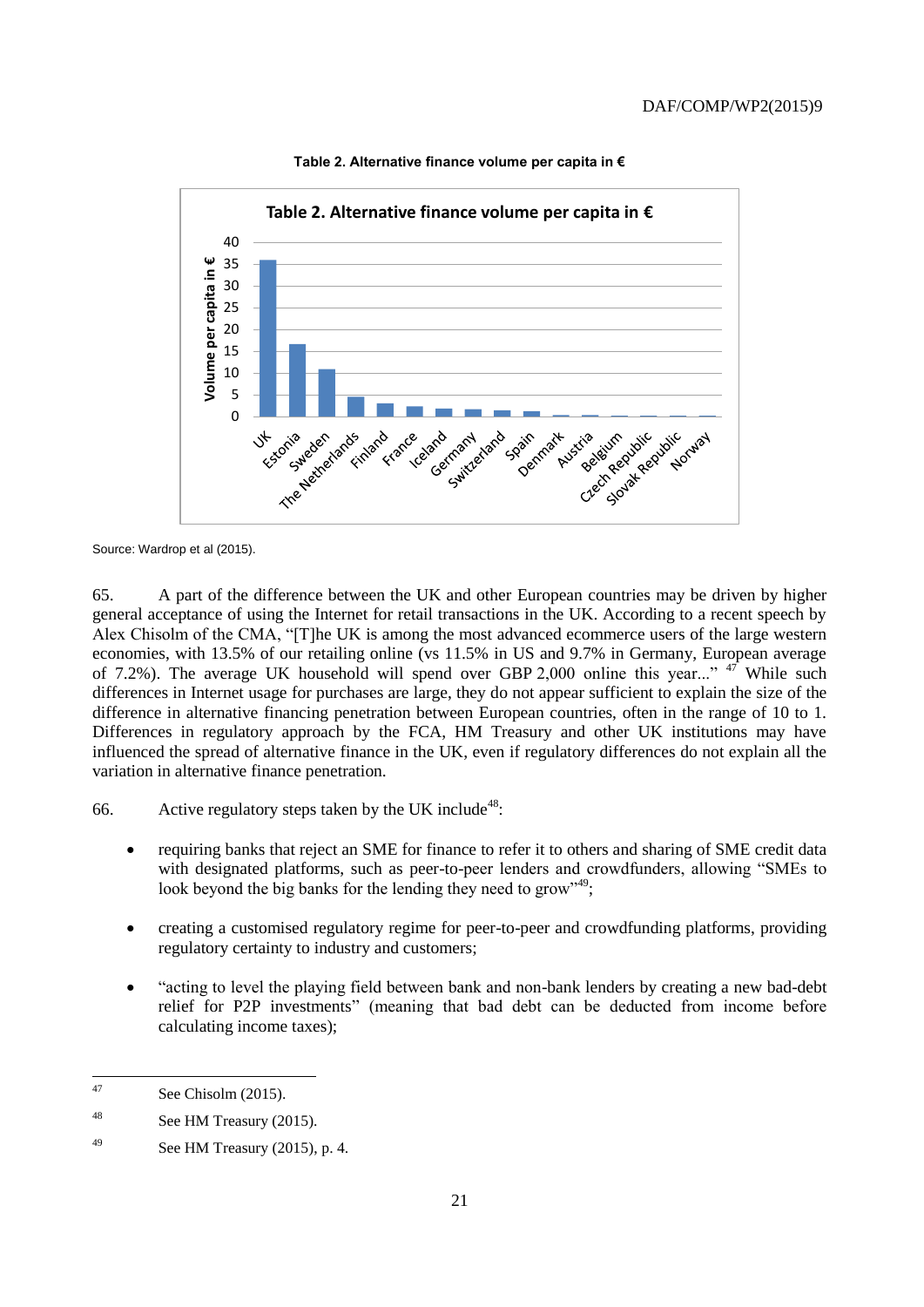

#### **Table 2. Alternative finance volume per capita in €**

Source: Wardrop et al (2015).

65. A part of the difference between the UK and other European countries may be driven by higher general acceptance of using the Internet for retail transactions in the UK. According to a recent speech by Alex Chisolm of the CMA, "[T]he UK is among the most advanced ecommerce users of the large western economies, with 13.5% of our retailing online (vs 11.5% in US and 9.7% in Germany, European average of 7.2%). The average UK household will spend over GBP 2,000 online this year..."  $47$  While such differences in Internet usage for purchases are large, they do not appear sufficient to explain the size of the difference in alternative financing penetration between European countries, often in the range of 10 to 1. Differences in regulatory approach by the FCA, HM Treasury and other UK institutions may have influenced the spread of alternative finance in the UK, even if regulatory differences do not explain all the variation in alternative finance penetration.

66. Active regulatory steps taken by the UK include<sup>48</sup>:

- requiring banks that reject an SME for finance to refer it to others and sharing of SME credit data with designated platforms, such as peer-to-peer lenders and crowdfunders, allowing "SMEs to look beyond the big banks for the lending they need to grow"<sup>49</sup>:
- creating a customised regulatory regime for peer-to-peer and crowdfunding platforms, providing regulatory certainty to industry and customers;
- "acting to level the playing field between bank and non-bank lenders by creating a new bad-debt relief for P2P investments" (meaning that bad debt can be deducted from income before calculating income taxes);

 $\overline{47}$ See Chisolm (2015).

<sup>&</sup>lt;sup>48</sup> See HM Treasury (2015).

 $^{49}$  See HM Treasury (2015), p. 4.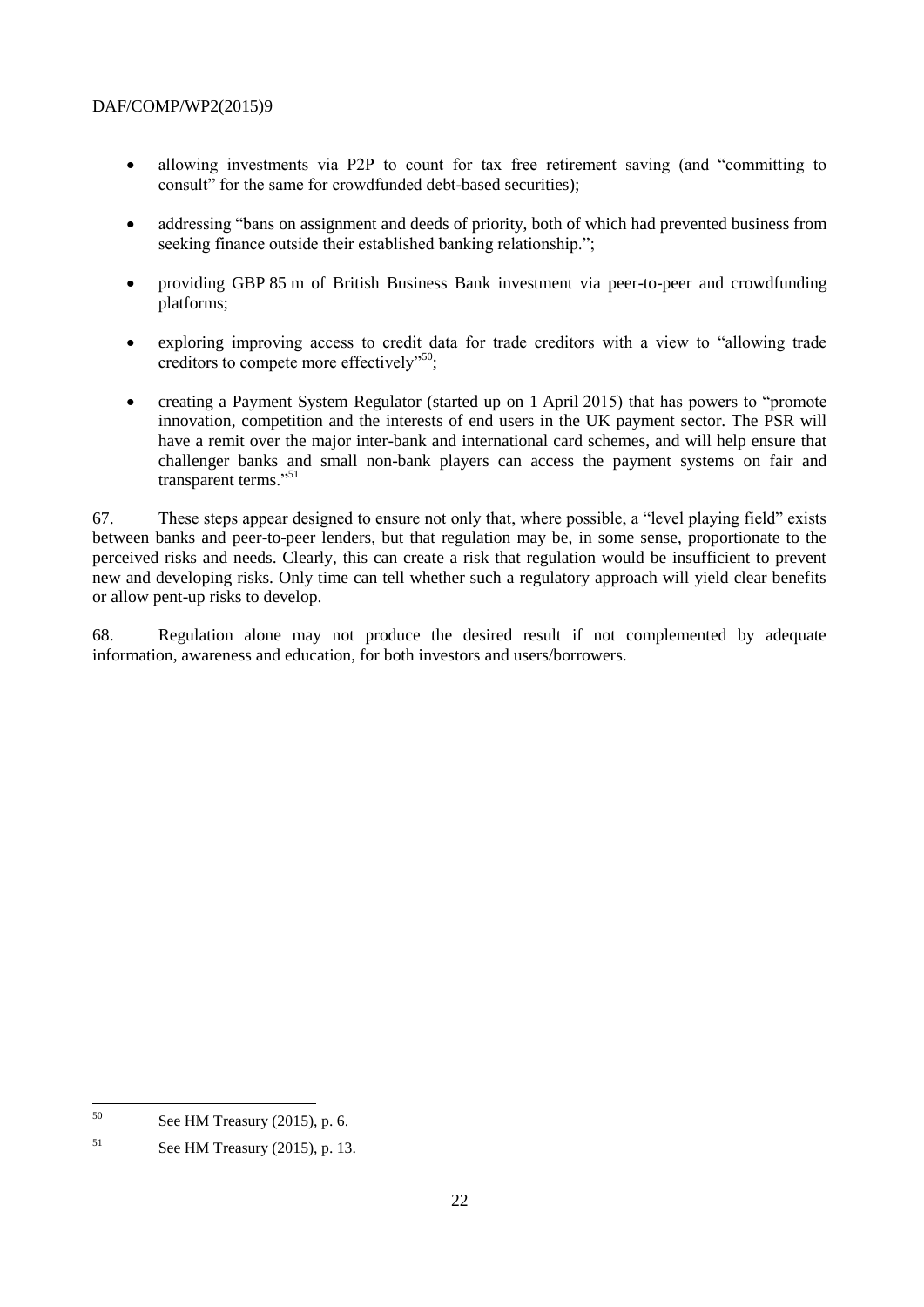- allowing investments via P2P to count for tax free retirement saving (and "committing to consult" for the same for crowdfunded debt-based securities);
- addressing "bans on assignment and deeds of priority, both of which had prevented business from seeking finance outside their established banking relationship.";
- providing GBP 85 m of British Business Bank investment via peer-to-peer and crowdfunding platforms;
- exploring improving access to credit data for trade creditors with a view to "allowing trade creditors to compete more effectively"<sup>50</sup>;
- creating a Payment System Regulator (started up on 1 April 2015) that has powers to "promote innovation, competition and the interests of end users in the UK payment sector. The PSR will have a remit over the major inter-bank and international card schemes, and will help ensure that challenger banks and small non-bank players can access the payment systems on fair and transparent terms."<sup>51</sup>

67. These steps appear designed to ensure not only that, where possible, a "level playing field" exists between banks and peer-to-peer lenders, but that regulation may be, in some sense, proportionate to the perceived risks and needs. Clearly, this can create a risk that regulation would be insufficient to prevent new and developing risks. Only time can tell whether such a regulatory approach will yield clear benefits or allow pent-up risks to develop.

68. Regulation alone may not produce the desired result if not complemented by adequate information, awareness and education, for both investors and users/borrowers.

 $50$ See HM Treasury (2015), p. 6.

 $51$  See HM Treasury (2015), p. 13.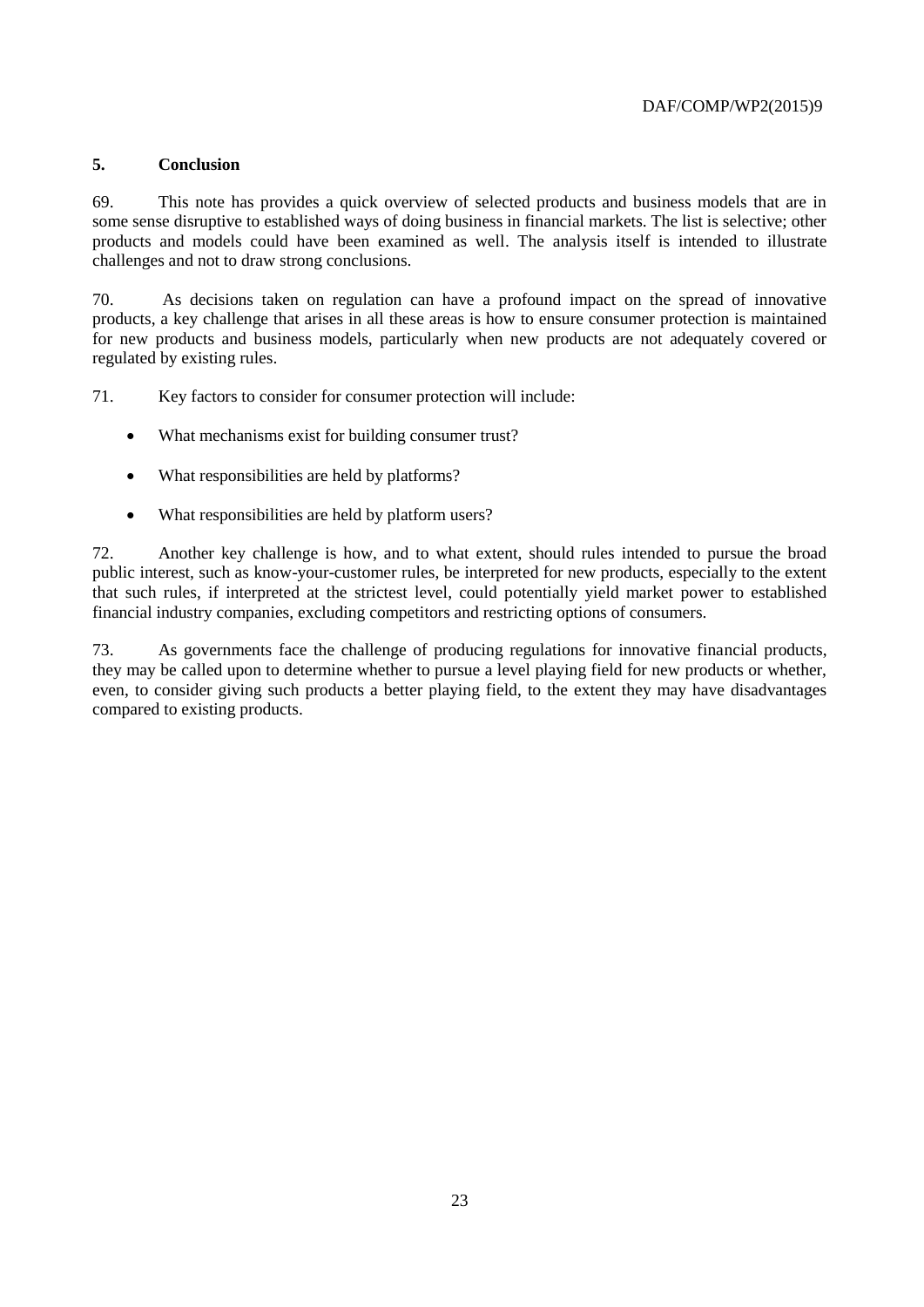## **5. Conclusion**

69. This note has provides a quick overview of selected products and business models that are in some sense disruptive to established ways of doing business in financial markets. The list is selective; other products and models could have been examined as well. The analysis itself is intended to illustrate challenges and not to draw strong conclusions.

70. As decisions taken on regulation can have a profound impact on the spread of innovative products, a key challenge that arises in all these areas is how to ensure consumer protection is maintained for new products and business models, particularly when new products are not adequately covered or regulated by existing rules.

71. Key factors to consider for consumer protection will include:

- What mechanisms exist for building consumer trust?
- What responsibilities are held by platforms?
- What responsibilities are held by platform users?

72. Another key challenge is how, and to what extent, should rules intended to pursue the broad public interest, such as know-your-customer rules, be interpreted for new products, especially to the extent that such rules, if interpreted at the strictest level, could potentially yield market power to established financial industry companies, excluding competitors and restricting options of consumers.

73. As governments face the challenge of producing regulations for innovative financial products, they may be called upon to determine whether to pursue a level playing field for new products or whether, even, to consider giving such products a better playing field, to the extent they may have disadvantages compared to existing products.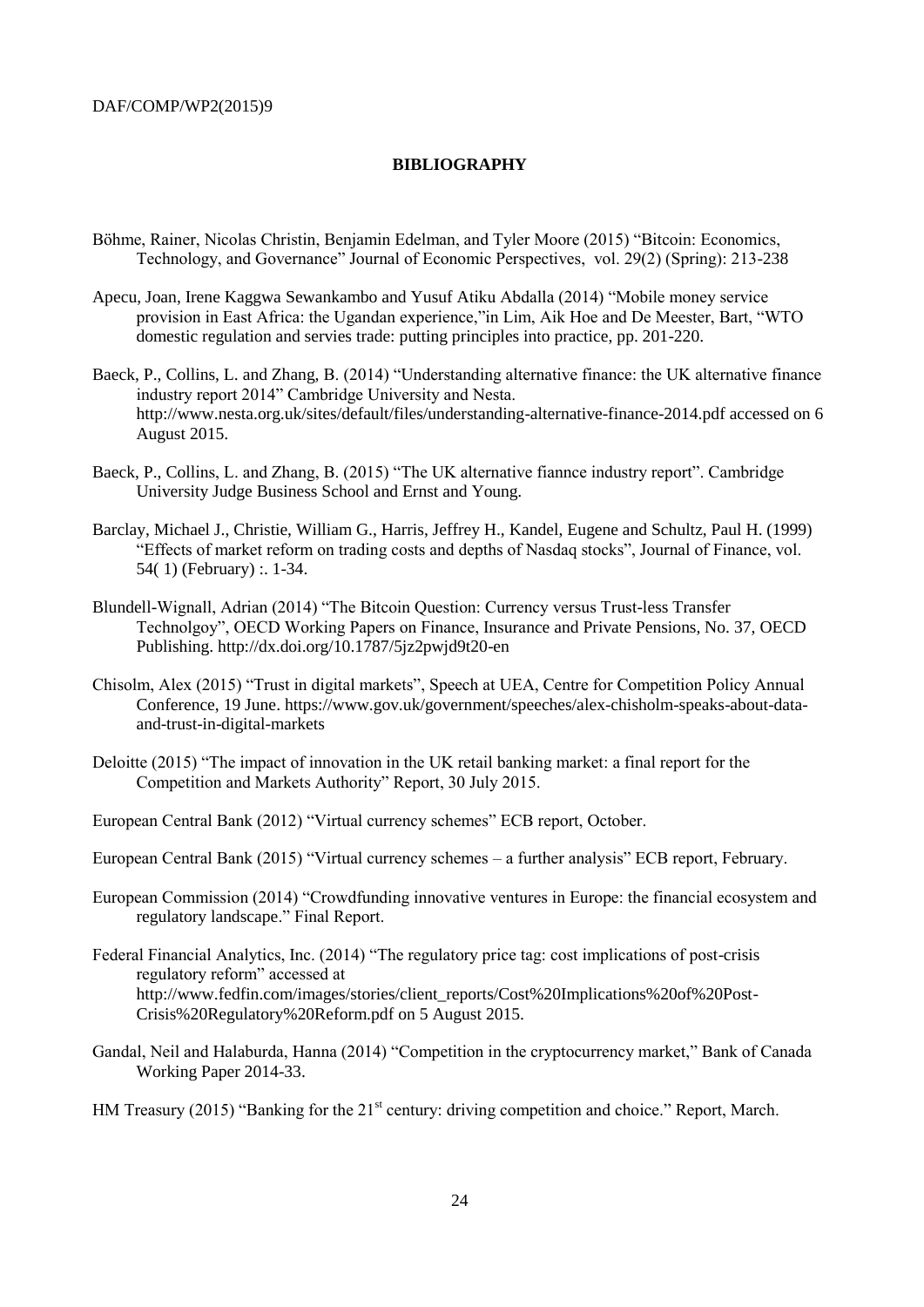#### **BIBLIOGRAPHY**

- Böhme, Rainer, Nicolas Christin, Benjamin Edelman, and Tyler Moore (2015) "Bitcoin: Economics, Technology, and Governance" Journal of Economic Perspectives, vol. 29(2) (Spring): 213-238
- Apecu, Joan, Irene Kaggwa Sewankambo and Yusuf Atiku Abdalla (2014) "Mobile money service provision in East Africa: the Ugandan experience,"in Lim, Aik Hoe and De Meester, Bart, "WTO domestic regulation and servies trade: putting principles into practice, pp. 201-220.
- Baeck, P., Collins, L. and Zhang, B. (2014) "Understanding alternative finance: the UK alternative finance industry report 2014" Cambridge University and Nesta. http://www.nesta.org.uk/sites/default/files/understanding-alternative-finance-2014.pdf accessed on 6 August 2015.
- Baeck, P., Collins, L. and Zhang, B. (2015) "The UK alternative fiannce industry report". Cambridge University Judge Business School and Ernst and Young.
- Barclay, Michael J., Christie, William G., Harris, Jeffrey H., Kandel, Eugene and Schultz, Paul H. (1999) "Effects of market reform on trading costs and depths of Nasdaq stocks", Journal of Finance, vol. 54( 1) (February) :. 1-34.
- Blundell-Wignall, Adrian (2014) "The Bitcoin Question: Currency versus Trust-less Transfer Technolgoy", OECD Working Papers on Finance, Insurance and Private Pensions, No. 37, OECD Publishing. http://dx.doi.org/10.1787/5jz2pwjd9t20-en
- Chisolm, Alex (2015) "Trust in digital markets", Speech at UEA, Centre for Competition Policy Annual Conference, 19 June. https://www.gov.uk/government/speeches/alex-chisholm-speaks-about-dataand-trust-in-digital-markets
- Deloitte (2015) "The impact of innovation in the UK retail banking market: a final report for the Competition and Markets Authority" Report, 30 July 2015.

European Central Bank (2012) "Virtual currency schemes" ECB report, October.

European Central Bank (2015) "Virtual currency schemes – a further analysis" ECB report, February.

- European Commission (2014) "Crowdfunding innovative ventures in Europe: the financial ecosystem and regulatory landscape." Final Report.
- Federal Financial Analytics, Inc. (2014) "The regulatory price tag: cost implications of post-crisis regulatory reform" accessed at http://www.fedfin.com/images/stories/client\_reports/Cost%20Implications%20of%20Post-Crisis%20Regulatory%20Reform.pdf on 5 August 2015.
- Gandal, Neil and Halaburda, Hanna (2014) "Competition in the cryptocurrency market," Bank of Canada Working Paper 2014-33.

HM Treasury (2015) "Banking for the 21<sup>st</sup> century: driving competition and choice." Report, March.